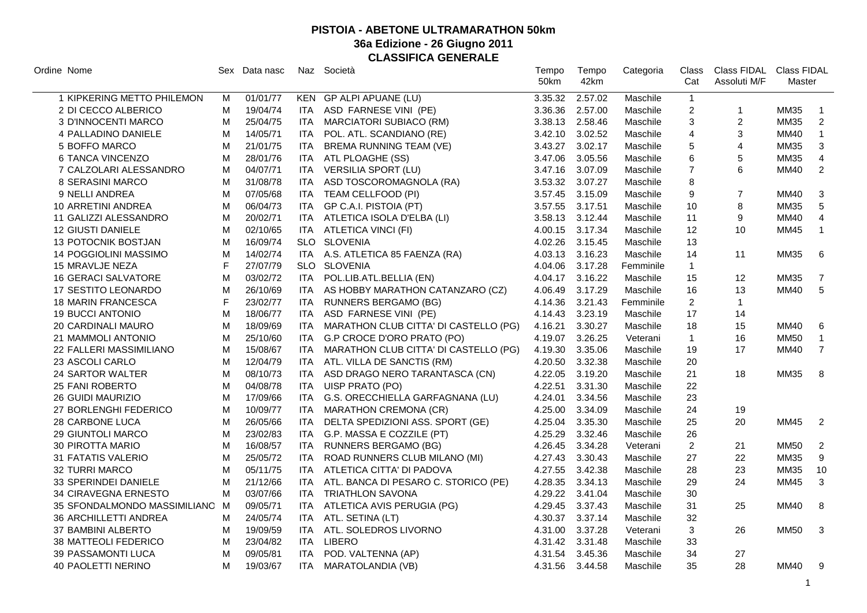| Ordine Nome                    |             | Sex Data nasc |            | Naz Società                               | Tempo<br>50km | Tempo<br>42km   | Categoria | Class<br>Cat   | Class FIDAL Class FIDAL<br>Assoluti M/F | <b>Master</b> |                  |
|--------------------------------|-------------|---------------|------------|-------------------------------------------|---------------|-----------------|-----------|----------------|-----------------------------------------|---------------|------------------|
| 1 KIPKERING METTO PHILEMON     | м           | 01/01/77      |            | KEN GP ALPI APUANE (LU)                   | 3.35.32       | 2.57.02         | Maschile  | $\mathbf{1}$   |                                         |               |                  |
| 2 DI CECCO ALBERICO            | M           | 19/04/74      |            | ITA ASD FARNESE VINI (PE)                 | 3.36.36       | 2.57.00         | Maschile  | $\overline{c}$ | $\mathbf{1}$                            | MM35          | $\mathbf{1}$     |
| 3 D'INNOCENTI MARCO            | M           | 25/04/75      | ITA        | <b>MARCIATORI SUBIACO (RM)</b>            | 3.38.13       | 2.58.46         | Maschile  | 3              | $\overline{2}$                          | <b>MM35</b>   | $\overline{2}$   |
| 4 PALLADINO DANIELE            | M           | 14/05/71      |            | ITA POL. ATL. SCANDIANO (RE)              | 3.42.10       | 3.02.52         | Maschile  | $\overline{4}$ | 3                                       | MM40          | $\mathbf{1}$     |
| 5 BOFFO MARCO                  | M           | 21/01/75      |            | ITA BREMA RUNNING TEAM (VE)               | 3.43.27       | 3.02.17         | Maschile  | 5              | $\overline{4}$                          | <b>MM35</b>   | $\mathfrak{S}$   |
| 6 TANCA VINCENZO               | M           | 28/01/76      |            | ITA ATL PLOAGHE (SS)                      | 3.47.06       | 3.05.56         | Maschile  | 6              | 5                                       | <b>MM35</b>   | $\overline{4}$   |
| 7 CALZOLARI ALESSANDRO         | M           | 04/07/71      |            | ITA VERSILIA SPORT (LU)                   | 3.47.16       | 3.07.09         | Maschile  | $\overline{7}$ | 6                                       | <b>MM40</b>   | $\overline{2}$   |
| 8 SERASINI MARCO               | M           | 31/08/78      |            | ITA ASD TOSCOROMAGNOLA (RA)               | 3.53.32       | 3.07.27         | Maschile  | 8              |                                         |               |                  |
| 9 NELLI ANDREA                 | M           | 07/05/68      |            | ITA TEAM CELLFOOD (PI)                    | 3.57.45       | 3.15.09         | Maschile  | 9              | $\overline{7}$                          | <b>MM40</b>   | 3                |
| 10 ARRETINI ANDREA             | M           | 06/04/73      |            | ITA GP C.A.I. PISTOIA (PT)                | 3.57.55       | 3.17.51         | Maschile  | 10             | 8                                       | <b>MM35</b>   | 5                |
| 11 GALIZZI ALESSANDRO          | M           | 20/02/71      |            | ITA ATLETICA ISOLA D'ELBA (LI)            | 3.58.13       | 3.12.44         | Maschile  | 11             | 9                                       | <b>MM40</b>   | $\overline{4}$   |
| 12 GIUSTI DANIELE              | M           | 02/10/65      |            | ITA ATLETICA VINCI (FI)                   | 4.00.15       | 3.17.34         | Maschile  | 12             | 10                                      | <b>MM45</b>   | $\mathbf{1}$     |
| 13 POTOCNIK BOSTJAN            | M           | 16/09/74      |            | SLO SLOVENIA                              | 4.02.26       | 3.15.45         | Maschile  | 13             |                                         |               |                  |
| 14 POGGIOLINI MASSIMO          | M           | 14/02/74      |            | ITA A.S. ATLETICA 85 FAENZA (RA)          | 4.03.13       | 3.16.23         | Maschile  | 14             | 11                                      | <b>MM35</b>   | 6                |
| 15 MRAVLJE NEZA                | $\mathsf F$ | 27/07/79      |            | SLO SLOVENIA                              | 4.04.06       | 3.17.28         | Femminile | $\mathbf{1}$   |                                         |               |                  |
| <b>16 GERACI SALVATORE</b>     | M           | 03/02/72      |            | ITA POL.LIB.ATL.BELLIA (EN)               |               | 4.04.17 3.16.22 | Maschile  | 15             | 12                                      | <b>MM35</b>   | $\overline{7}$   |
| 17 SESTITO LEONARDO            | M           | 26/10/69      |            | ITA AS HOBBY MARATHON CATANZARO (CZ)      | 4.06.49       | 3.17.29         | Maschile  | 16             | 13                                      | <b>MM40</b>   | 5                |
| <b>18 MARIN FRANCESCA</b>      | F           | 23/02/77      |            | ITA RUNNERS BERGAMO (BG)                  | 4.14.36       | 3.21.43         | Femminile | $\overline{2}$ | $\mathbf{1}$                            |               |                  |
| <b>19 BUCCI ANTONIO</b>        | M           | 18/06/77      | <b>ITA</b> | ASD FARNESE VINI (PE)                     | 4.14.43       | 3.23.19         | Maschile  | 17             | 14                                      |               |                  |
| 20 CARDINALI MAURO             | M           | 18/09/69      | <b>ITA</b> | MARATHON CLUB CITTA' DI CASTELLO (PG)     | 4.16.21       | 3.30.27         | Maschile  | 18             | 15                                      | <b>MM40</b>   | 6                |
| 21 MAMMOLI ANTONIO             | M           | 25/10/60      |            | ITA G.P CROCE D'ORO PRATO (PO)            | 4.19.07       | 3.26.25         | Veterani  | $\mathbf{1}$   | 16                                      | <b>MM50</b>   | $\mathbf{1}$     |
| 22 FALLERI MASSIMILIANO        | M           | 15/08/67      |            | ITA MARATHON CLUB CITTA' DI CASTELLO (PG) | 4.19.30       | 3.35.06         | Maschile  | 19             | 17                                      | <b>MM40</b>   | $\overline{7}$   |
| 23 ASCOLI CARLO                | M           | 12/04/79      |            | ITA ATL. VILLA DE SANCTIS (RM)            | 4.20.50       | 3.32.38         | Maschile  | 20             |                                         |               |                  |
| 24 SARTOR WALTER               | M           | 08/10/73      |            | ITA ASD DRAGO NERO TARANTASCA (CN)        | 4.22.05       | 3.19.20         | Maschile  | 21             | 18                                      | MM35          | 8                |
| 25 FANI ROBERTO                | M           | 04/08/78      |            | ITA UISP PRATO (PO)                       | 4.22.51       | 3.31.30         | Maschile  | 22             |                                         |               |                  |
| 26 GUIDI MAURIZIO              | м           | 17/09/66      |            | ITA G.S. ORECCHIELLA GARFAGNANA (LU)      | 4.24.01       | 3.34.56         | Maschile  | 23             |                                         |               |                  |
| 27 BORLENGHI FEDERICO          | M           | 10/09/77      | <b>ITA</b> | <b>MARATHON CREMONA (CR)</b>              | 4.25.00       | 3.34.09         | Maschile  | 24             | 19                                      |               |                  |
| 28 CARBONE LUCA                | M           | 26/05/66      | <b>ITA</b> | DELTA SPEDIZIONI ASS. SPORT (GE)          | 4.25.04       | 3.35.30         | Maschile  | 25             | 20                                      | <b>MM45</b>   | $\overline{2}$   |
| <b>29 GIUNTOLI MARCO</b>       | M           | 23/02/83      |            | ITA G.P. MASSA E COZZILE (PT)             | 4.25.29       | 3.32.46         | Maschile  | 26             |                                         |               |                  |
| 30 PIROTTA MARIO               | M           | 16/08/57      |            | ITA RUNNERS BERGAMO (BG)                  | 4.26.45       | 3.34.28         | Veterani  | 2              | 21                                      | <b>MM50</b>   | $\overline{2}$   |
| 31 FATATIS VALERIO             | M           | 25/05/72      |            | ITA ROAD RUNNERS CLUB MILANO (MI)         | 4.27.43       | 3.30.43         | Maschile  | 27             | 22                                      | <b>MM35</b>   | $\boldsymbol{9}$ |
| 32 TURRI MARCO                 | M           | 05/11/75      |            | ITA ATLETICA CITTA' DI PADOVA             | 4.27.55       | 3.42.38         | Maschile  | 28             | 23                                      | MM35          | 10               |
| 33 SPERINDEI DANIELE           | м           | 21/12/66      |            | ITA ATL. BANCA DI PESARO C. STORICO (PE)  | 4.28.35       | 3.34.13         | Maschile  | 29             | 24                                      | MM45          | 3                |
| 34 CIRAVEGNA ERNESTO           | M           | 03/07/66      |            | ITA TRIATHLON SAVONA                      | 4.29.22       | 3.41.04         | Maschile  | 30             |                                         |               |                  |
| 35 SFONDALMONDO MASSIMILIANO M |             | 09/05/71      | <b>ITA</b> | ATLETICA AVIS PERUGIA (PG)                | 4.29.45       | 3.37.43         | Maschile  | 31             | 25                                      | <b>MM40</b>   | 8                |
| 36 ARCHILLETTI ANDREA          | M           | 24/05/74      | ITA        | ATL. SETINA (LT)                          | 4.30.37       | 3.37.14         | Maschile  | 32             |                                         |               |                  |
| 37 BAMBINI ALBERTO             | M           | 19/09/59      | ITA        | ATL. SOLEDROS LIVORNO                     | 4.31.00       | 3.37.28         | Veterani  | 3              | 26                                      | <b>MM50</b>   | 3                |
| 38 MATTEOLI FEDERICO           | M           | 23/04/82      | ITA        | <b>LIBERO</b>                             |               | 4.31.42 3.31.48 | Maschile  | 33             |                                         |               |                  |
| 39 PASSAMONTI LUCA             | M           | 09/05/81      | ITA.       | POD. VALTENNA (AP)                        | 4.31.54       | 3.45.36         | Maschile  | 34             | 27                                      |               |                  |
| <b>40 PAOLETTI NERINO</b>      | M           | 19/03/67      | <b>ITA</b> | MARATOLANDIA (VB)                         | 4.31.56       | 3.44.58         | Maschile  | 35             | 28                                      | MM40          | 9                |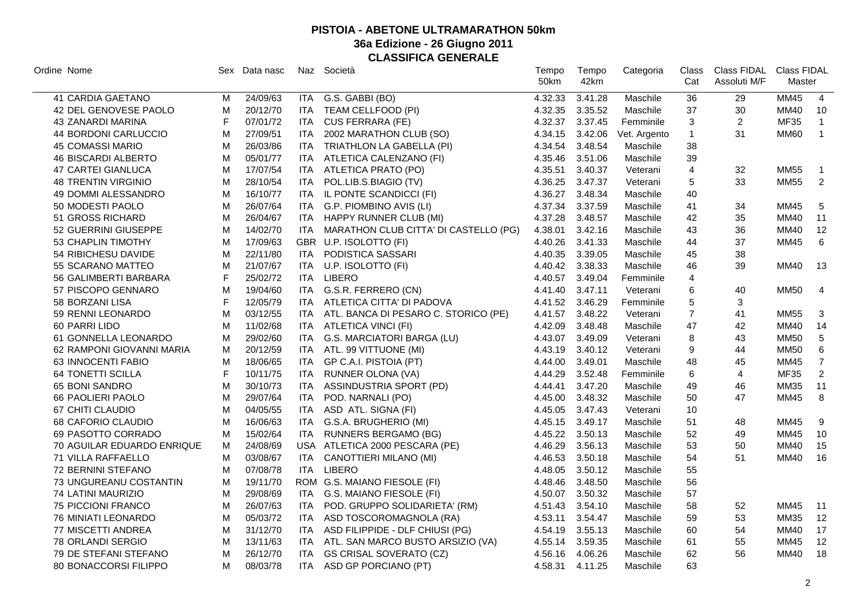| Ordine Nome                |              | Sex Data nasc |            | Naz Società                              | Tempo<br>50km | Tempo<br>42km   | Categoria    | Class<br>Cat   | Class FIDAL<br>Assoluti M/F | <b>Class FIDAL</b><br>Master |                |
|----------------------------|--------------|---------------|------------|------------------------------------------|---------------|-----------------|--------------|----------------|-----------------------------|------------------------------|----------------|
| 41 CARDIA GAETANO          | М            | 24/09/63      |            | ITA G.S. GABBI (BO)                      | 4.32.33       | 3.41.28         | Maschile     | 36             | 29                          | <b>MM45</b>                  | $\overline{4}$ |
| 42 DEL GENOVESE PAOLO      | M            | 20/12/70      |            | ITA TEAM CELLFOOD (PI)                   | 4.32.35       | 3.35.52         | Maschile     | 37             | 30                          | <b>MM40</b>                  | 10             |
| 43 ZANARDI MARINA          | $\mathsf F$  | 07/01/72      | ITA        | <b>CUS FERRARA (FE)</b>                  | 4.32.37       | 3.37.45         | Femminile    | 3              | $\overline{2}$              | <b>MF35</b>                  | $\mathbf{1}$   |
| 44 BORDONI CARLUCCIO       | M            | 27/09/51      |            | ITA 2002 MARATHON CLUB (SO)              | 4.34.15       | 3.42.06         | Vet. Argento | $\mathbf{1}$   | 31                          | <b>MM60</b>                  | $\overline{1}$ |
| 45 COMASSI MARIO           | м            | 26/03/86      |            | ITA TRIATHLON LA GABELLA (PI)            | 4.34.54       | 3.48.54         | Maschile     | 38             |                             |                              |                |
| <b>46 BISCARDI ALBERTO</b> | м            | 05/01/77      |            | ITA ATLETICA CALENZANO (FI)              | 4.35.46       | 3.51.06         | Maschile     | 39             |                             |                              |                |
| 47 CARTEI GIANLUCA         | M            | 17/07/54      |            | ITA ATLETICA PRATO (PO)                  | 4.35.51       | 3.40.37         | Veterani     | $\overline{4}$ | 32                          | <b>MM55</b>                  | $\overline{1}$ |
| <b>48 TRENTIN VIRGINIO</b> | M            | 28/10/54      |            | ITA POL.LIB.S.BIAGIO (TV)                | 4.36.25       | 3.47.37         | Veterani     | 5              | 33                          | <b>MM55</b>                  | $\overline{2}$ |
| 49 DOMMI ALESSANDRO        | M            | 16/10/77      |            | ITA IL PONTE SCANDICCI (FI)              | 4.36.27       | 3.48.34         | Maschile     | 40             |                             |                              |                |
| 50 MODESTI PAOLO           | M            | 26/07/64      |            | ITA G.P. PIOMBINO AVIS (LI)              | 4.37.34       | 3.37.59         | Maschile     | 41             | 34                          | MM45                         | $\sqrt{5}$     |
| 51 GROSS RICHARD           | M            | 26/04/67      |            | ITA HAPPY RUNNER CLUB (MI)               | 4.37.28       | 3.48.57         | Maschile     | 42             | 35                          | MM40                         | 11             |
| 52 GUERRINI GIUSEPPE       | M            | 14/02/70      | ITA        | MARATHON CLUB CITTA' DI CASTELLO (PG)    | 4.38.01       | 3.42.16         | Maschile     | 43             | 36                          | <b>MM40</b>                  | 12             |
| 53 CHAPLIN TIMOTHY         | M            | 17/09/63      |            | GBR U.P. ISOLOTTO (FI)                   | 4.40.26       | 3.41.33         | Maschile     | 44             | 37                          | <b>MM45</b>                  | 6              |
| 54 RIBICHESU DAVIDE        | M            | 22/11/80      |            | ITA PODISTICA SASSARI                    | 4.40.35       | 3.39.05         | Maschile     | 45             | 38                          |                              |                |
| 55 SCARANO MATTEO          | M            | 21/07/67      | <b>ITA</b> | U.P. ISOLOTTO (FI)                       | 4.40.42       | 3.38.33         | Maschile     | 46             | 39                          | <b>MM40</b>                  | 13             |
| 56 GALIMBERTI BARBARA      | $\mathsf{F}$ | 25/02/72      |            | ITA LIBERO                               | 4.40.57       | 3.49.04         | Femminile    | $\overline{4}$ |                             |                              |                |
| 57 PISCOPO GENNARO         | M            | 19/04/60      |            | ITA G.S.R. FERRERO (CN)                  | 4.41.40       | 3.47.11         | Veterani     | 6              | 40                          | <b>MM50</b>                  | $\overline{4}$ |
| 58 BORZANI LISA            | $\mathsf{F}$ | 12/05/79      | ITA        | ATLETICA CITTA' DI PADOVA                | 4.41.52       | 3.46.29         | Femminile    | 5              | 3                           |                              |                |
| 59 RENNI LEONARDO          | M            | 03/12/55      |            | ITA ATL. BANCA DI PESARO C. STORICO (PE) | 4.41.57       | 3.48.22         | Veterani     | $\overline{7}$ | 41                          | <b>MM55</b>                  | 3              |
| 60 PARRI LIDO              | M            | 11/02/68      |            | ITA ATLETICA VINCI (FI)                  | 4.42.09       | 3.48.48         | Maschile     | 47             | 42                          | MM40                         | 14             |
| 61 GONNELLA LEONARDO       | M            | 29/02/60      |            | ITA G.S. MARCIATORI BARGA (LU)           | 4.43.07       | 3.49.09         | Veterani     | 8              | 43                          | <b>MM50</b>                  | 5              |
| 62 RAMPONI GIOVANNI MARIA  | M            | 20/12/59      |            | ITA ATL. 99 VITTUONE (MI)                | 4.43.19       | 3.40.12         | Veterani     | 9              | 44                          | <b>MM50</b>                  | $\,6\,$        |
| 63 INNOCENTI FABIO         | M            | 18/06/65      |            | ITA GP C.A.I. PISTOIA (PT)               | 4.44.00       | 3.49.01         | Maschile     | 48             | 45                          | <b>MM45</b>                  | $\overline{7}$ |
| <b>64 TONETTI SCILLA</b>   | $\mathsf{F}$ | 10/11/75      |            | ITA RUNNER OLONA (VA)                    | 4.44.29       | 3.52.48         | Femminile    | 6              | 4                           | <b>MF35</b>                  | $\overline{2}$ |
| 65 BONI SANDRO             | M            | 30/10/73      |            | ITA ASSINDUSTRIA SPORT (PD)              | 4.44.41       | 3.47.20         | Maschile     | 49             | 46                          | <b>MM35</b>                  | 11             |
| 66 PAOLIERI PAOLO          | M            | 29/07/64      |            | ITA POD. NARNALI (PO)                    | 4.45.00       | 3.48.32         | Maschile     | 50             | 47                          | <b>MM45</b>                  | 8              |
| 67 CHITI CLAUDIO           | M            | 04/05/55      |            | ITA ASD ATL. SIGNA (FI)                  | 4.45.05       | 3.47.43         | Veterani     | 10             |                             |                              |                |
| 68 CAFORIO CLAUDIO         | M            | 16/06/63      | ITA        | G.S.A. BRUGHERIO (MI)                    | 4.45.15       | 3.49.17         | Maschile     | 51             | 48                          | MM45                         | 9              |
| 69 PASOTTO CORRADO         | м            | 15/02/64      |            | ITA RUNNERS BERGAMO (BG)                 | 4.45.22       | 3.50.13         | Maschile     | 52             | 49                          | MM45                         | 10             |
| 70 AGUILAR EDUARDO ENRIQUE | м            | 24/08/69      |            | USA ATLETICA 2000 PESCARA (PE)           | 4.46.29       | 3.56.13         | Maschile     | 53             | 50                          | MM40                         | 15             |
| 71 VILLA RAFFAELLO         | M            | 03/08/67      |            | ITA CANOTTIERI MILANO (MI)               | 4.46.53       | 3.50.18         | Maschile     | 54             | 51                          | MM40                         | 16             |
| 72 BERNINI STEFANO         | м            | 07/08/78      | <b>ITA</b> | <b>LIBERO</b>                            | 4.48.05       | 3.50.12         | Maschile     | 55             |                             |                              |                |
| 73 UNGUREANU COSTANTIN     | M            | 19/11/70      |            | ROM G.S. MAIANO FIESOLE (FI)             | 4.48.46       | 3.48.50         | Maschile     | 56             |                             |                              |                |
| 74 LATINI MAURIZIO         | M            | 29/08/69      |            | ITA G.S. MAIANO FIESOLE (FI)             | 4.50.07       | 3.50.32         | Maschile     | 57             |                             |                              |                |
| 75 PICCIONI FRANCO         | M            | 26/07/63      |            | ITA POD. GRUPPO SOLIDARIETA' (RM)        | 4.51.43       | 3.54.10         | Maschile     | 58             | 52                          | <b>MM45</b>                  | 11             |
| <b>76 MINIATI LEONARDO</b> | M            | 05/03/72      | ITA        | ASD TOSCOROMAGNOLA (RA)                  | 4.53.11       | 3.54.47         | Maschile     | 59             | 53                          | <b>MM35</b>                  | 12             |
| 77 MISCETTI ANDREA         | M            | 31/12/70      | ITA        | ASD FILIPPIDE - DLF CHIUSI (PG)          | 4.54.19       | 3.55.13         | Maschile     | 60             | 54                          | <b>MM40</b>                  | 17             |
| 78 ORLANDI SERGIO          | M            | 13/11/63      |            | ITA ATL. SAN MARCO BUSTO ARSIZIO (VA)    | 4.55.14       | 3.59.35         | Maschile     | 61             | 55                          | <b>MM45</b>                  | 12             |
| 79 DE STEFANI STEFANO      | м            | 26/12/70      | ITA        | <b>GS CRISAL SOVERATO (CZ)</b>           | 4.56.16       | 4.06.26         | Maschile     | 62             | 56                          | <b>MM40</b>                  | 18             |
| 80 BONACCORSI FILIPPO      | M            | 08/03/78      | <b>ITA</b> | ASD GP PORCIANO (PT)                     |               | 4.58.31 4.11.25 | Maschile     | 63             |                             |                              |                |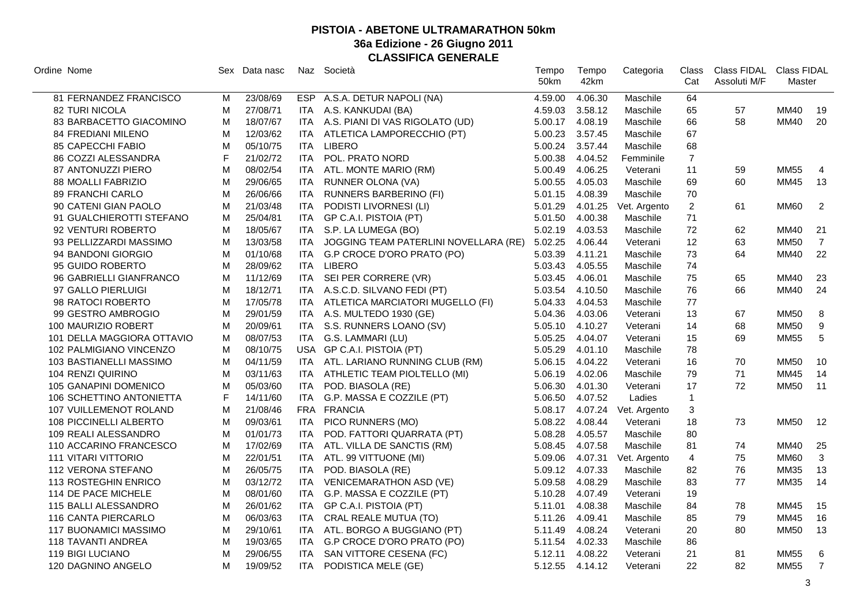|   |          |                                                   |                                       | Tempo<br>50km                                                                                                                                                                                                                                                                                                                                                                                                                                                                                                            | Tempo<br>42km | Categoria                             | Class<br>Cat   | Assoluti M/F               | Class FIDAL<br>Master |                            |
|---|----------|---------------------------------------------------|---------------------------------------|--------------------------------------------------------------------------------------------------------------------------------------------------------------------------------------------------------------------------------------------------------------------------------------------------------------------------------------------------------------------------------------------------------------------------------------------------------------------------------------------------------------------------|---------------|---------------------------------------|----------------|----------------------------|-----------------------|----------------------------|
| M | 23/08/69 | <b>ESP</b>                                        |                                       | 4.59.00                                                                                                                                                                                                                                                                                                                                                                                                                                                                                                                  | 4.06.30       | Maschile                              | 64             |                            |                       |                            |
| м |          | ITA                                               |                                       |                                                                                                                                                                                                                                                                                                                                                                                                                                                                                                                          | 3.58.12       | Maschile                              |                | 57                         |                       | 19                         |
| м | 18/07/67 |                                                   |                                       | 5.00.17                                                                                                                                                                                                                                                                                                                                                                                                                                                                                                                  | 4.08.19       | Maschile                              | 66             | 58                         | <b>MM40</b>           | 20                         |
| M | 12/03/62 | ITA                                               | ATLETICA LAMPORECCHIO (PT)            | 5.00.23                                                                                                                                                                                                                                                                                                                                                                                                                                                                                                                  | 3.57.45       | Maschile                              | 67             |                            |                       |                            |
| M | 05/10/75 | <b>ITA</b>                                        | <b>LIBERO</b>                         | 5.00.24                                                                                                                                                                                                                                                                                                                                                                                                                                                                                                                  | 3.57.44       | Maschile                              | 68             |                            |                       |                            |
| F | 21/02/72 | <b>ITA</b>                                        | POL. PRATO NORD                       | 5.00.38                                                                                                                                                                                                                                                                                                                                                                                                                                                                                                                  | 4.04.52       | Femminile                             | $\overline{7}$ |                            |                       |                            |
| M | 08/02/54 | <b>ITA</b>                                        | ATL. MONTE MARIO (RM)                 | 5.00.49                                                                                                                                                                                                                                                                                                                                                                                                                                                                                                                  | 4.06.25       | Veterani                              | 11             | 59                         | <b>MM55</b>           | $\overline{4}$             |
| M | 29/06/65 | <b>ITA</b>                                        | RUNNER OLONA (VA)                     | 5.00.55                                                                                                                                                                                                                                                                                                                                                                                                                                                                                                                  | 4.05.03       | Maschile                              | 69             | 60                         | <b>MM45</b>           | 13                         |
| M | 26/06/66 | ITA                                               | RUNNERS BARBERINO (FI)                | 5.01.15                                                                                                                                                                                                                                                                                                                                                                                                                                                                                                                  | 4.08.39       | Maschile                              | 70             |                            |                       |                            |
| M | 21/03/48 | <b>ITA</b>                                        | PODISTI LIVORNESI (LI)                | 5.01.29                                                                                                                                                                                                                                                                                                                                                                                                                                                                                                                  | 4.01.25       | Vet. Argento                          | $\overline{2}$ | 61                         | <b>MM60</b>           | $\overline{2}$             |
| M |          |                                                   |                                       | 5.01.50                                                                                                                                                                                                                                                                                                                                                                                                                                                                                                                  |               | Maschile                              | 71             |                            |                       |                            |
| M | 18/05/67 |                                                   |                                       | 5.02.19                                                                                                                                                                                                                                                                                                                                                                                                                                                                                                                  | 4.03.53       | Maschile                              |                | 62                         | <b>MM40</b>           | 21                         |
| M | 13/03/58 | <b>ITA</b>                                        | JOGGING TEAM PATERLINI NOVELLARA (RE) | 5.02.25                                                                                                                                                                                                                                                                                                                                                                                                                                                                                                                  |               | Veterani                              |                | 63                         | <b>MM50</b>           | $\overline{7}$             |
| M | 01/10/68 | <b>ITA</b>                                        | G.P CROCE D'ORO PRATO (PO)            | 5.03.39                                                                                                                                                                                                                                                                                                                                                                                                                                                                                                                  | 4.11.21       | Maschile                              | 73             | 64                         | <b>MM40</b>           | 22                         |
| M | 28/09/62 | ITA                                               |                                       | 5.03.43                                                                                                                                                                                                                                                                                                                                                                                                                                                                                                                  | 4.05.55       | Maschile                              | 74             |                            |                       |                            |
| M | 11/12/69 | ITA I                                             | SEI PER CORRERE (VR)                  | 5.03.45                                                                                                                                                                                                                                                                                                                                                                                                                                                                                                                  | 4.06.01       | Maschile                              |                | 65                         | <b>MM40</b>           | 23                         |
| M | 18/12/71 | ITA                                               |                                       | 5.03.54                                                                                                                                                                                                                                                                                                                                                                                                                                                                                                                  | 4.10.50       | Maschile                              | 76             | 66                         | <b>MM40</b>           | 24                         |
| M | 17/05/78 | ITA                                               |                                       | 5.04.33                                                                                                                                                                                                                                                                                                                                                                                                                                                                                                                  | 4.04.53       | Maschile                              | 77             |                            |                       |                            |
| M | 29/01/59 |                                                   |                                       | 5.04.36                                                                                                                                                                                                                                                                                                                                                                                                                                                                                                                  | 4.03.06       | Veterani                              | 13             | 67                         | MM50                  | 8                          |
| м | 20/09/61 |                                                   |                                       | 5.05.10                                                                                                                                                                                                                                                                                                                                                                                                                                                                                                                  | 4.10.27       | Veterani                              | 14             | 68                         | <b>MM50</b>           | 9                          |
| M | 08/07/53 | ITA                                               | G.S. LAMMARI (LU)                     | 5.05.25                                                                                                                                                                                                                                                                                                                                                                                                                                                                                                                  | 4.04.07       | Veterani                              | 15             | 69                         | <b>MM55</b>           | 5                          |
| M | 08/10/75 |                                                   |                                       | 5.05.29                                                                                                                                                                                                                                                                                                                                                                                                                                                                                                                  | 4.01.10       | Maschile                              | 78             |                            |                       |                            |
| M | 04/11/59 |                                                   |                                       | 5.06.15                                                                                                                                                                                                                                                                                                                                                                                                                                                                                                                  | 4.04.22       | Veterani                              | 16             | 70                         | <b>MM50</b>           | 10                         |
| M | 03/11/63 |                                                   |                                       | 5.06.19                                                                                                                                                                                                                                                                                                                                                                                                                                                                                                                  | 4.02.06       | Maschile                              | 79             | 71                         | <b>MM45</b>           | 14                         |
| M | 05/03/60 | <b>ITA</b>                                        | POD. BIASOLA (RE)                     | 5.06.30                                                                                                                                                                                                                                                                                                                                                                                                                                                                                                                  | 4.01.30       | Veterani                              | 17             | 72                         | <b>MM50</b>           | 11                         |
| E | 14/11/60 | <b>ITA</b>                                        | G.P. MASSA E COZZILE (PT)             | 5.06.50                                                                                                                                                                                                                                                                                                                                                                                                                                                                                                                  | 4.07.52       | Ladies                                | $\mathbf{1}$   |                            |                       |                            |
| м | 21/08/46 |                                                   |                                       | 5.08.17                                                                                                                                                                                                                                                                                                                                                                                                                                                                                                                  | 4.07.24       | Vet. Argento                          | 3              |                            |                       |                            |
| м | 09/03/61 | ITA                                               |                                       | 5.08.22                                                                                                                                                                                                                                                                                                                                                                                                                                                                                                                  | 4.08.44       | Veterani                              | 18             | 73                         | <b>MM50</b>           | 12                         |
| M | 01/01/73 | ITA.                                              |                                       | 5.08.28                                                                                                                                                                                                                                                                                                                                                                                                                                                                                                                  | 4.05.57       | Maschile                              |                |                            |                       |                            |
| M | 17/02/69 | <b>ITA</b>                                        |                                       | 5.08.45                                                                                                                                                                                                                                                                                                                                                                                                                                                                                                                  | 4.07.58       | Maschile                              | 81             | 74                         | <b>MM40</b>           | 25                         |
| M |          | ITA.                                              | ATL. 99 VITTUONE (MI)                 | 5.09.06                                                                                                                                                                                                                                                                                                                                                                                                                                                                                                                  | 4.07.31       | Vet. Argento                          | $\overline{4}$ | 75                         | <b>MM60</b>           | 3                          |
| M | 26/05/75 | <b>ITA</b>                                        | POD. BIASOLA (RE)                     | 5.09.12                                                                                                                                                                                                                                                                                                                                                                                                                                                                                                                  | 4.07.33       | Maschile                              | 82             | 76                         | MM35                  | 13                         |
| M | 03/12/72 | ITA                                               | <b>VENICEMARATHON ASD (VE)</b>        | 5.09.58                                                                                                                                                                                                                                                                                                                                                                                                                                                                                                                  | 4.08.29       | Maschile                              | 83             | 77                         | MM35                  | 14                         |
| M | 08/01/60 | ITA I                                             | G.P. MASSA E COZZILE (PT)             | 5.10.28                                                                                                                                                                                                                                                                                                                                                                                                                                                                                                                  | 4.07.49       | Veterani                              | 19             |                            |                       |                            |
| M | 26/01/62 | ITA.                                              | GP C.A.I. PISTOIA (PT)                | 5.11.01                                                                                                                                                                                                                                                                                                                                                                                                                                                                                                                  | 4.08.38       | Maschile                              | 84             | 78                         | MM45                  | 15                         |
| M | 06/03/63 | ITA.                                              | <b>CRAL REALE MUTUA (TO)</b>          | 5.11.26                                                                                                                                                                                                                                                                                                                                                                                                                                                                                                                  | 4.09.41       | Maschile                              | 85             | 79                         | <b>MM45</b>           | 16                         |
| M | 29/10/61 | ITA                                               | ATL. BORGO A BUGGIANO (PT)            | 5.11.49                                                                                                                                                                                                                                                                                                                                                                                                                                                                                                                  | 4.08.24       | Veterani                              | 20             | 80                         | <b>MM50</b>           | 13                         |
| M | 19/03/65 | <b>ITA</b>                                        | G.P CROCE D'ORO PRATO (PO)            | 5.11.54                                                                                                                                                                                                                                                                                                                                                                                                                                                                                                                  | 4.02.33       | Maschile                              | 86             |                            |                       |                            |
| M | 29/06/55 | ITA                                               | SAN VITTORE CESENA (FC)               | 5.12.11                                                                                                                                                                                                                                                                                                                                                                                                                                                                                                                  | 4.08.22       | Veterani                              | 21             | 81                         | <b>MM55</b>           | 6                          |
| M | 19/09/52 | <b>ITA</b>                                        | PODISTICA MELE (GE)                   |                                                                                                                                                                                                                                                                                                                                                                                                                                                                                                                          |               | Veterani                              | 22             | 82                         | <b>MM55</b>           | $\overline{7}$             |
|   |          | Sex Data nasc<br>27/08/71<br>25/04/81<br>22/01/51 |                                       | Naz Società<br>A.S.A. DETUR NAPOLI (NA)<br>A.S. KANKUDAI (BA)<br>ITA A.S. PIANI DI VAS RIGOLATO (UD)<br>ITA GP C.A.I. PISTOIA (PT)<br>S.P. LA LUMEGA (BO)<br>ITA<br><b>LIBERO</b><br>A.S.C.D. SILVANO FEDI (PT)<br>ATLETICA MARCIATORI MUGELLO (FI)<br>ITA A.S. MULTEDO 1930 (GE)<br>ITA S.S. RUNNERS LOANO (SV)<br>USA GP C.A.I. PISTOIA (PT)<br>ITA ATL. LARIANO RUNNING CLUB (RM)<br>ITA ATHLETIC TEAM PIOLTELLO (MI)<br>FRA FRANCIA<br>PICO RUNNERS (MO)<br>POD. FATTORI QUARRATA (PT)<br>ATL. VILLA DE SANCTIS (RM) | 4.59.03       | 4.00.38<br>4.06.44<br>5.12.55 4.14.12 |                | 65<br>72<br>12<br>75<br>80 |                       | Class FIDAL<br><b>MM40</b> |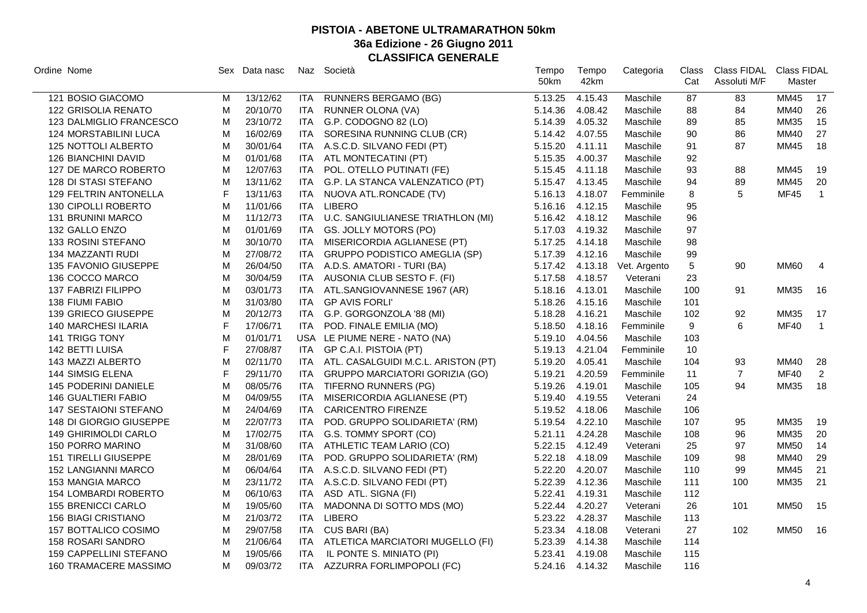| Ordine Nome                   |              | Sex Data nasc |       | Naz Società                             | Tempo<br>50km | Tempo<br>42km | Categoria    | Class<br>Cat | Class FIDAL<br>Assoluti M/F | Class FIDAL<br>Master |                |
|-------------------------------|--------------|---------------|-------|-----------------------------------------|---------------|---------------|--------------|--------------|-----------------------------|-----------------------|----------------|
| 121 BOSIO GIACOMO             | м            | 13/12/62      | ITA   | <b>RUNNERS BERGAMO (BG)</b>             | 5.13.25       | 4.15.43       | Maschile     | 87           | 83                          | <b>MM45</b>           | 17             |
| <b>122 GRISOLIA RENATO</b>    | M            | 20/10/70      | ITA.  | RUNNER OLONA (VA)                       | 5.14.36       | 4.08.42       | Maschile     | 88           | 84                          | MM40                  | 26             |
| 123 DALMIGLIO FRANCESCO       | м            | 23/10/72      | ITA   | G.P. CODOGNO 82 (LO)                    | 5.14.39       | 4.05.32       | Maschile     | 89           | 85                          | <b>MM35</b>           | 15             |
| 124 MORSTABILINI LUCA         | M            | 16/02/69      | ITA   | SORESINA RUNNING CLUB (CR)              | 5.14.42       | 4.07.55       | Maschile     | 90           | 86                          | MM40                  | 27             |
| 125 NOTTOLI ALBERTO           | м            | 30/01/64      | ITA.  | A.S.C.D. SILVANO FEDI (PT)              | 5.15.20       | 4.11.11       | Maschile     | 91           | 87                          | <b>MM45</b>           | 18             |
| <b>126 BIANCHINI DAVID</b>    | M            | 01/01/68      | ITA   | ATL MONTECATINI (PT)                    | 5.15.35       | 4.00.37       | Maschile     | 92           |                             |                       |                |
| 127 DE MARCO ROBERTO          | M            | 12/07/63      | ITA   | POL. OTELLO PUTINATI (FE)               | 5.15.45       | 4.11.18       | Maschile     | 93           | 88                          | <b>MM45</b>           | 19             |
| 128 DI STASI STEFANO          | м            | 13/11/62      | ITA   | G.P. LA STANCA VALENZATICO (PT)         | 5.15.47       | 4.13.45       | Maschile     | 94           | 89                          | <b>MM45</b>           | 20             |
| 129 FELTRIN ANTONELLA         | F            | 13/11/63      | ITA   | NUOVA ATL.RONCADE (TV)                  | 5.16.13       | 4.18.07       | Femminile    | 8            | 5                           | <b>MF45</b>           | $\overline{1}$ |
| 130 CIPOLLI ROBERTO           | M            | 11/01/66      |       | ITA LIBERO                              | 5.16.16       | 4.12.15       | Maschile     | 95           |                             |                       |                |
| <b>131 BRUNINI MARCO</b>      | M            | 11/12/73      | ITA   | U.C. SANGIULIANESE TRIATHLON (MI)       | 5.16.42       | 4.18.12       | Maschile     | 96           |                             |                       |                |
| 132 GALLO ENZO                | M            | 01/01/69      | ITA   | GS. JOLLY MOTORS (PO)                   | 5.17.03       | 4.19.32       | Maschile     | 97           |                             |                       |                |
| 133 ROSINI STEFANO            | M            | 30/10/70      | ITA   | MISERICORDIA AGLIANESE (PT)             | 5.17.25       | 4.14.18       | Maschile     | 98           |                             |                       |                |
| 134 MAZZANTI RUDI             | M            | 27/08/72      | ITA   | <b>GRUPPO PODISTICO AMEGLIA (SP)</b>    | 5.17.39       | 4.12.16       | Maschile     | 99           |                             |                       |                |
| 135 FAVONIO GIUSEPPE          | M            | 26/04/50      | ITA   | A.D.S. AMATORI - TURI (BA)              | 5.17.42       | 4.13.18       | Vet. Argento | 5            | 90                          | <b>MM60</b>           | 4              |
| 136 COCCO MARCO               | м            | 30/04/59      |       | ITA AUSONIA CLUB SESTO F. (FI)          | 5.17.58       | 4.18.57       | Veterani     | 23           |                             |                       |                |
| 137 FABRIZI FILIPPO           | M            | 03/01/73      |       | ITA ATL.SANGIOVANNESE 1967 (AR)         | 5.18.16       | 4.13.01       | Maschile     | 100          | 91                          | <b>MM35</b>           | 16             |
| 138 FIUMI FABIO               | M            | 31/03/80      | ITA   | <b>GP AVIS FORLI</b>                    | 5.18.26       | 4.15.16       | Maschile     | 101          |                             |                       |                |
| 139 GRIECO GIUSEPPE           | M            | 20/12/73      | ITA   | G.P. GORGONZOLA '88 (MI)                | 5.18.28       | 4.16.21       | Maschile     | 102          | 92                          | <b>MM35</b>           | 17             |
| <b>140 MARCHESI ILARIA</b>    | F            | 17/06/71      | ITA   | POD. FINALE EMILIA (MO)                 | 5.18.50       | 4.18.16       | Femminile    | 9            | 6                           | <b>MF40</b>           | $\mathbf{1}$   |
| 141 TRIGG TONY                | M            | 01/01/71      |       | USA LE PIUME NERE - NATO (NA)           | 5.19.10       | 4.04.56       | Maschile     | 103          |                             |                       |                |
| 142 BETTI LUISA               | F            | 27/08/87      |       | ITA GP C.A.I. PISTOIA (PT)              | 5.19.13       | 4.21.04       | Femminile    | 10           |                             |                       |                |
| 143 MAZZI ALBERTO             | M            | 02/11/70      |       | ITA ATL. CASALGUIDI M.C.L. ARISTON (PT) | 5.19.20       | 4.05.41       | Maschile     | 104          | 93                          | MM40                  | 28             |
| <b>144 SIMSIG ELENA</b>       | $\mathsf{F}$ | 29/11/70      | ITA   | GRUPPO MARCIATORI GORIZIA (GO)          | 5.19.21       | 4.20.59       | Femminile    | 11           | $\overline{7}$              | <b>MF40</b>           | $\overline{2}$ |
| <b>145 PODERINI DANIELE</b>   | M            | 08/05/76      | ITA I | TIFERNO RUNNERS (PG)                    | 5.19.26       | 4.19.01       | Maschile     | 105          | 94                          | <b>MM35</b>           | 18             |
| <b>146 GUALTIERI FABIO</b>    | M            | 04/09/55      | ITA   | MISERICORDIA AGLIANESE (PT)             | 5.19.40       | 4.19.55       | Veterani     | 24           |                             |                       |                |
| 147 SESTAIONI STEFANO         | M            | 24/04/69      | ITA   | <b>CARICENTRO FIRENZE</b>               | 5.19.52       | 4.18.06       | Maschile     | 106          |                             |                       |                |
| 148 DI GIORGIO GIUSEPPE       | м            | 22/07/73      | ITA.  | POD. GRUPPO SOLIDARIETA' (RM)           | 5.19.54       | 4.22.10       | Maschile     | 107          | 95                          | MM35                  | 19             |
| 149 GHIRIMOLDI CARLO          | м            | 17/02/75      | ITA   | G.S. TOMMY SPORT (CO)                   | 5.21.11       | 4.24.28       | Maschile     | 108          | 96                          | <b>MM35</b>           | 20             |
| 150 PORRO MARINO              | M            | 31/08/60      | ITA   | ATHLETIC TEAM LARIO (CO)                | 5.22.15       | 4.12.49       | Veterani     | 25           | 97                          | <b>MM50</b>           | 14             |
| <b>151 TIRELLI GIUSEPPE</b>   | M            | 28/01/69      | ITA   | POD. GRUPPO SOLIDARIETA' (RM)           | 5.22.18       | 4.18.09       | Maschile     | 109          | 98                          | MM40                  | 29             |
| <b>152 LANGIANNI MARCO</b>    | M            | 06/04/64      | ITA   | A.S.C.D. SILVANO FEDI (PT)              | 5.22.20       | 4.20.07       | Maschile     | 110          | 99                          | <b>MM45</b>           | 21             |
| 153 MANGIA MARCO              | м            | 23/11/72      | ITA   | A.S.C.D. SILVANO FEDI (PT)              | 5.22.39       | 4.12.36       | Maschile     | 111          | 100                         | <b>MM35</b>           | 21             |
| 154 LOMBARDI ROBERTO          | M            | 06/10/63      | ITA.  | ASD ATL. SIGNA (FI)                     | 5.22.41       | 4.19.31       | Maschile     | 112          |                             |                       |                |
| <b>155 BRENICCI CARLO</b>     | м            | 19/05/60      | ITA.  | MADONNA DI SOTTO MDS (MO)               | 5.22.44       | 4.20.27       | Veterani     | 26           | 101                         | <b>MM50</b>           | 15             |
| <b>156 BIAGI CRISTIANO</b>    | M            | 21/03/72      | ITA   | <b>LIBERO</b>                           | 5.23.22       | 4.28.37       | Maschile     | 113          |                             |                       |                |
| 157 BOTTALICO COSIMO          | M            | 29/07/58      | ITA   | CUS BARI (BA)                           | 5.23.34       | 4.18.08       | Veterani     | 27           | 102                         | <b>MM50</b>           | 16             |
| 158 ROSARI SANDRO             | M            | 21/06/64      | ITA   | ATLETICA MARCIATORI MUGELLO (FI)        | 5.23.39       | 4.14.38       | Maschile     | 114          |                             |                       |                |
| <b>159 CAPPELLINI STEFANO</b> | M            | 19/05/66      | ITA.  | IL PONTE S. MINIATO (PI)                | 5.23.41       | 4.19.08       | Maschile     | 115          |                             |                       |                |
| 160 TRAMACERE MASSIMO         | м            | 09/03/72      | ITA I | AZZURRA FORLIMPOPOLI (FC)               | 5.24.16       | 4.14.32       | Maschile     | 116          |                             |                       |                |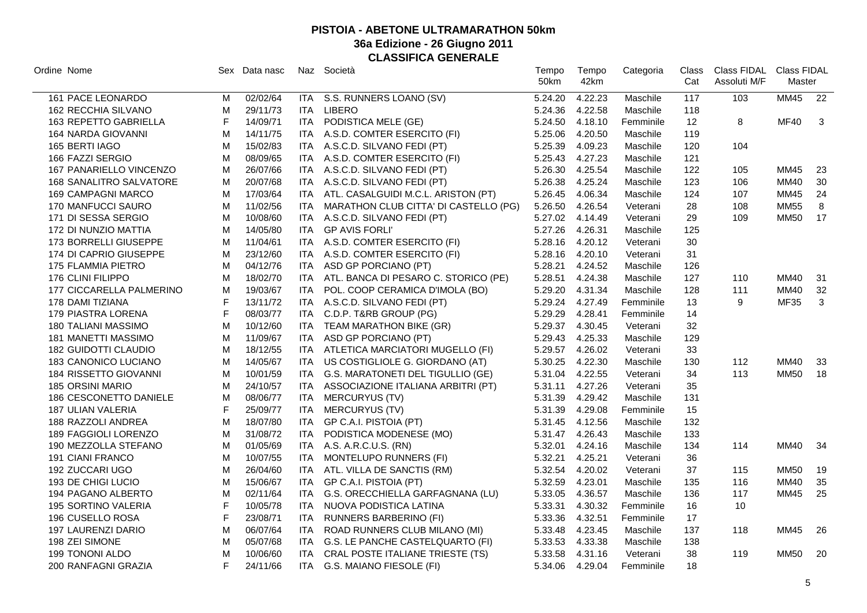| Ordine Nome                    |   | Sex Data nasc |            | Naz Società                           | Tempo<br>50km | Tempo<br>42km | Categoria | Class<br>Cat | Class FIDAL<br>Assoluti M/F | Class FIDAL<br>Master |     |
|--------------------------------|---|---------------|------------|---------------------------------------|---------------|---------------|-----------|--------------|-----------------------------|-----------------------|-----|
| 161 PACE LEONARDO              | м | 02/02/64      | ITA        | S.S. RUNNERS LOANO (SV)               | 5.24.20       | 4.22.23       | Maschile  | 117          | 103                         | <b>MM45</b>           | 22  |
| 162 RECCHIA SILVANO            | M | 29/11/73      | <b>ITA</b> | <b>LIBERO</b>                         | 5.24.36       | 4.22.58       | Maschile  | 118          |                             |                       |     |
| 163 REPETTO GABRIELLA          | F | 14/09/71      | <b>ITA</b> | PODISTICA MELE (GE)                   | 5.24.50       | 4.18.10       | Femminile | 12           | 8                           | <b>MF40</b>           | 3   |
| 164 NARDA GIOVANNI             | м | 14/11/75      | ITA        | A.S.D. COMTER ESERCITO (FI)           | 5.25.06       | 4.20.50       | Maschile  | 119          |                             |                       |     |
| 165 BERTI IAGO                 | M | 15/02/83      | ITA.       | A.S.C.D. SILVANO FEDI (PT)            | 5.25.39       | 4.09.23       | Maschile  | 120          | 104                         |                       |     |
| 166 FAZZI SERGIO               | M | 08/09/65      | <b>ITA</b> | A.S.D. COMTER ESERCITO (FI)           | 5.25.43       | 4.27.23       | Maschile  | 121          |                             |                       |     |
| 167 PANARIELLO VINCENZO        | M | 26/07/66      | <b>ITA</b> | A.S.C.D. SILVANO FEDI (PT)            | 5.26.30       | 4.25.54       | Maschile  | 122          | 105                         | <b>MM45</b>           | 23  |
| <b>168 SANALITRO SALVATORE</b> | M | 20/07/68      | <b>ITA</b> | A.S.C.D. SILVANO FEDI (PT)            | 5.26.38       | 4.25.24       | Maschile  | 123          | 106                         | <b>MM40</b>           | 30  |
| <b>169 CAMPAGNI MARCO</b>      | M | 17/03/64      | ITA.       | ATL. CASALGUIDI M.C.L. ARISTON (PT)   | 5.26.45       | 4.06.34       | Maschile  | 124          | 107                         | <b>MM45</b>           | 24  |
| 170 MANFUCCI SAURO             | M | 11/02/56      | ITA.       | MARATHON CLUB CITTA' DI CASTELLO (PG) | 5.26.50       | 4.26.54       | Veterani  | 28           | 108                         | <b>MM55</b>           | 8   |
| 171 DI SESSA SERGIO            | м | 10/08/60      | ITA        | A.S.C.D. SILVANO FEDI (PT)            | 5.27.02       | 4.14.49       | Veterani  | 29           | 109                         | MM50                  | 17  |
| 172 DI NUNZIO MATTIA           | м | 14/05/80      | ITA.       | <b>GP AVIS FORLI'</b>                 | 5.27.26       | 4.26.31       | Maschile  | 125          |                             |                       |     |
| 173 BORRELLI GIUSEPPE          | M | 11/04/61      | ITA.       | A.S.D. COMTER ESERCITO (FI)           | 5.28.16       | 4.20.12       | Veterani  | 30           |                             |                       |     |
| 174 DI CAPRIO GIUSEPPE         | M | 23/12/60      | ITA        | A.S.D. COMTER ESERCITO (FI)           | 5.28.16       | 4.20.10       | Veterani  | 31           |                             |                       |     |
| <b>175 FLAMMIA PIETRO</b>      | M | 04/12/76      | <b>ITA</b> | ASD GP PORCIANO (PT)                  | 5.28.21       | 4.24.52       | Maschile  | 126          |                             |                       |     |
| 176 CLINI FILIPPO              | M | 18/02/70      | ITA        | ATL. BANCA DI PESARO C. STORICO (PE)  | 5.28.51       | 4.24.38       | Maschile  | 127          | 110                         | <b>MM40</b>           | 31  |
| 177 CICCARELLA PALMERINO       | M | 19/03/67      | <b>ITA</b> | POL. COOP CERAMICA D'IMOLA (BO)       | 5.29.20       | 4.31.34       | Maschile  | 128          | 111                         | <b>MM40</b>           | 32  |
| 178 DAMI TIZIANA               | F | 13/11/72      | <b>ITA</b> | A.S.C.D. SILVANO FEDI (PT)            | 5.29.24       | 4.27.49       | Femminile | 13           | 9                           | <b>MF35</b>           | 3   |
| 179 PIASTRA LORENA             | F | 08/03/77      | <b>ITA</b> | C.D.P. T&RB GROUP (PG)                | 5.29.29       | 4.28.41       | Femminile | 14           |                             |                       |     |
| <b>180 TALIANI MASSIMO</b>     | M | 10/12/60      | ITA.       | TEAM MARATHON BIKE (GR)               | 5.29.37       | 4.30.45       | Veterani  | 32           |                             |                       |     |
| 181 MANETTI MASSIMO            | M | 11/09/67      | <b>ITA</b> | ASD GP PORCIANO (PT)                  | 5.29.43       | 4.25.33       | Maschile  | 129          |                             |                       |     |
| 182 GUIDOTTI CLAUDIO           | M | 18/12/55      | ITA        | ATLETICA MARCIATORI MUGELLO (FI)      | 5.29.57       | 4.26.02       | Veterani  | 33           |                             |                       |     |
| 183 CANONICO LUCIANO           | M | 14/05/67      | <b>ITA</b> | US COSTIGLIOLE G. GIORDANO (AT)       | 5.30.25       | 4.22.30       | Maschile  | 130          | 112                         | <b>MM40</b>           | 33  |
| 184 RISSETTO GIOVANNI          | M | 10/01/59      | ITA        | G.S. MARATONETI DEL TIGULLIO (GE)     | 5.31.04       | 4.22.55       | Veterani  | 34           | 113                         | <b>MM50</b>           | 18  |
| <b>185 ORSINI MARIO</b>        | M | 24/10/57      | <b>ITA</b> | ASSOCIAZIONE ITALIANA ARBITRI (PT)    | 5.31.11       | 4.27.26       | Veterani  | 35           |                             |                       |     |
| 186 CESCONETTO DANIELE         | M | 08/06/77      | <b>ITA</b> | <b>MERCURYUS (TV)</b>                 | 5.31.39       | 4.29.42       | Maschile  | 131          |                             |                       |     |
| <b>187 ULIAN VALERIA</b>       | F | 25/09/77      | ITA.       | <b>MERCURYUS (TV)</b>                 | 5.31.39       | 4.29.08       | Femminile | 15           |                             |                       |     |
| 188 RAZZOLI ANDREA             | M | 18/07/80      | ITA        | GP C.A.I. PISTOIA (PT)                | 5.31.45       | 4.12.56       | Maschile  | 132          |                             |                       |     |
| 189 FAGGIOLI LORENZO           | M | 31/08/72      | <b>ITA</b> | PODISTICA MODENESE (MO)               | 5.31.47       | 4.26.43       | Maschile  | 133          |                             |                       |     |
| 190 MEZZOLLA STEFANO           | M | 01/05/69      | ITA.       | A.S. A.R.C.U.S. (RN)                  | 5.32.01       | 4.24.16       | Maschile  | 134          | 114                         | <b>MM40</b>           | -34 |
| <b>191 CIANI FRANCO</b>        | M | 10/07/55      | <b>ITA</b> | MONTELUPO RUNNERS (FI)                | 5.32.21       | 4.25.21       | Veterani  | 36           |                             |                       |     |
| 192 ZUCCARI UGO                | M | 26/04/60      | <b>ITA</b> | ATL. VILLA DE SANCTIS (RM)            | 5.32.54       | 4.20.02       | Veterani  | 37           | 115                         | <b>MM50</b>           | 19  |
| 193 DE CHIGI LUCIO             | M | 15/06/67      | <b>ITA</b> | GP C.A.I. PISTOIA (PT)                | 5.32.59       | 4.23.01       | Maschile  | 135          | 116                         | <b>MM40</b>           | 35  |
| 194 PAGANO ALBERTO             | M | 02/11/64      | <b>ITA</b> | G.S. ORECCHIELLA GARFAGNANA (LU)      | 5.33.05       | 4.36.57       | Maschile  | 136          | 117                         | <b>MM45</b>           | 25  |
| 195 SORTINO VALERIA            | F | 10/05/78      | <b>ITA</b> | NUOVA PODISTICA LATINA                | 5.33.31       | 4.30.32       | Femminile | 16           | 10                          |                       |     |
| 196 CUSELLO ROSA               | F | 23/08/71      | <b>ITA</b> | <b>RUNNERS BARBERINO (FI)</b>         | 5.33.36       | 4.32.51       | Femminile | 17           |                             |                       |     |
| 197 LAURENZI DARIO             | M | 06/07/64      | ITA        | ROAD RUNNERS CLUB MILANO (MI)         | 5.33.48       | 4.23.45       | Maschile  | 137          | 118                         | MM45                  | 26  |
| 198 ZEI SIMONE                 | M | 05/07/68      | ITA.       | G.S. LE PANCHE CASTELQUARTO (FI)      | 5.33.53       | 4.33.38       | Maschile  | 138          |                             |                       |     |
| <b>199 TONONI ALDO</b>         | м | 10/06/60      | ITA.       | CRAL POSTE ITALIANE TRIESTE (TS)      | 5.33.58       | 4.31.16       | Veterani  | 38           | 119                         | <b>MM50</b>           | 20  |
| 200 RANFAGNI GRAZIA            | F | 24/11/66      | ITA        | G.S. MAIANO FIESOLE (FI)              | 5.34.06       | 4.29.04       | Femminile | 18           |                             |                       |     |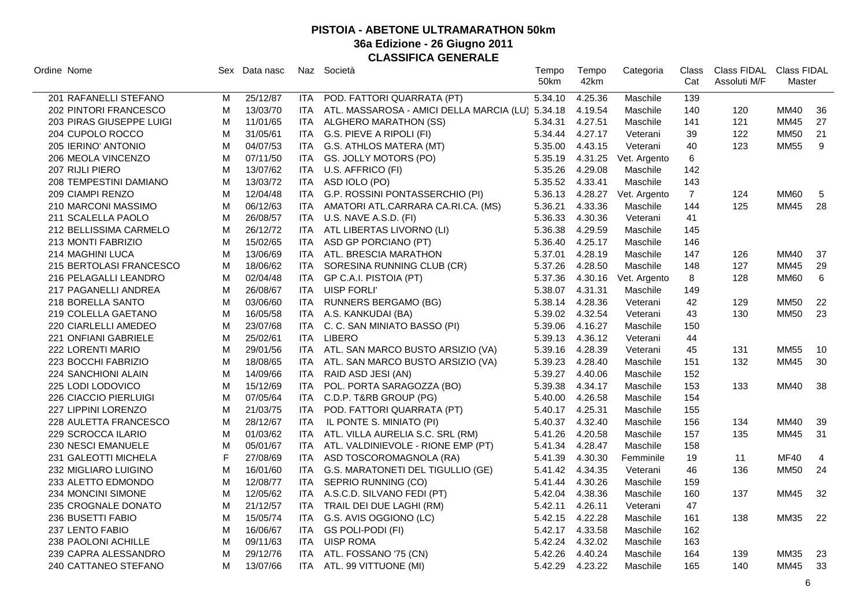| Ordine Nome              |              | Sex Data nasc | Naz  | Società                                              | Tempo<br>50km | Tempo<br>42km | Categoria    | Class<br>Cat   | Class FIDAL<br>Assoluti M/F | Class FIDAL<br>Master |                |
|--------------------------|--------------|---------------|------|------------------------------------------------------|---------------|---------------|--------------|----------------|-----------------------------|-----------------------|----------------|
| 201 RAFANELLI STEFANO    | М            | 25/12/87      |      | ITA POD. FATTORI QUARRATA (PT)                       | 5.34.10       | 4.25.36       | Maschile     | 139            |                             |                       |                |
| 202 PINTORI FRANCESCO    | M            | 13/03/70      |      | ITA ATL. MASSAROSA - AMICI DELLA MARCIA (LU) 5.34.18 |               | 4.19.54       | Maschile     | 140            | 120                         | <b>MM40</b>           | 36             |
| 203 PIRAS GIUSEPPE LUIGI | M            | 11/01/65      |      | ITA ALGHERO MARATHON (SS)                            | 5.34.31       | 4.27.51       | Maschile     | 141            | 121                         | <b>MM45</b>           | 27             |
| 204 CUPOLO ROCCO         | M            | 31/05/61      |      | ITA G.S. PIEVE A RIPOLI (FI)                         | 5.34.44       | 4.27.17       | Veterani     | 39             | 122                         | <b>MM50</b>           | 21             |
| 205 IERINO' ANTONIO      | M            | 04/07/53      |      | ITA G.S. ATHLOS MATERA (MT)                          | 5.35.00       | 4.43.15       | Veterani     | 40             | 123                         | <b>MM55</b>           | 9              |
| 206 MEOLA VINCENZO       | M            | 07/11/50      |      | ITA GS. JOLLY MOTORS (PO)                            | 5.35.19       | 4.31.25       | Vet. Argento | 6              |                             |                       |                |
| 207 RIJLI PIERO          | M            | 13/07/62      |      | ITA U.S. AFFRICO (FI)                                | 5.35.26       | 4.29.08       | Maschile     | 142            |                             |                       |                |
| 208 TEMPESTINI DAMIANO   | M            | 13/03/72      |      | ITA ASD IOLO (PO)                                    | 5.35.52       | 4.33.41       | Maschile     | 143            |                             |                       |                |
| 209 CIAMPI RENZO         | M            | 12/04/48      |      | ITA G.P. ROSSINI PONTASSERCHIO (PI)                  | 5.36.13       | 4.28.27       | Vet. Argento | $\overline{7}$ | 124                         | <b>MM60</b>           | 5              |
| 210 MARCONI MASSIMO      | M            | 06/12/63      |      | ITA AMATORI ATL.CARRARA CA.RI.CA. (MS)               | 5.36.21       | 4.33.36       | Maschile     | 144            | 125                         | MM45                  | 28             |
| 211 SCALELLA PAOLO       | M            | 26/08/57      |      | ITA U.S. NAVE A.S.D. (FI)                            | 5.36.33       | 4.30.36       | Veterani     | 41             |                             |                       |                |
| 212 BELLISSIMA CARMELO   | M            | 26/12/72      |      | ITA ATL LIBERTAS LIVORNO (LI)                        | 5.36.38       | 4.29.59       | Maschile     | 145            |                             |                       |                |
| 213 MONTI FABRIZIO       | M            | 15/02/65      |      | ITA ASD GP PORCIANO (PT)                             | 5.36.40       | 4.25.17       | Maschile     | 146            |                             |                       |                |
| 214 MAGHINI LUCA         | M            | 13/06/69      |      | ITA ATL. BRESCIA MARATHON                            | 5.37.01       | 4.28.19       | Maschile     | 147            | 126                         | <b>MM40</b>           | 37             |
| 215 BERTOLASI FRANCESCO  | M            | 18/06/62      |      | ITA SORESINA RUNNING CLUB (CR)                       | 5.37.26       | 4.28.50       | Maschile     | 148            | 127                         | <b>MM45</b>           | 29             |
| 216 PELAGALLI LEANDRO    | M            | 02/04/48      |      | ITA GP C.A.I. PISTOIA (PT)                           | 5.37.36       | 4.30.16       | Vet. Argento | 8              | 128                         | MM60                  | 6              |
| 217 PAGANELLI ANDREA     | M            | 26/08/67      |      | ITA UISP FORLI'                                      | 5.38.07       | 4.31.31       | Maschile     | 149            |                             |                       |                |
| 218 BORELLA SANTO        | M            | 03/06/60      |      | ITA RUNNERS BERGAMO (BG)                             | 5.38.14       | 4.28.36       | Veterani     | 42             | 129                         | <b>MM50</b>           | 22             |
| 219 COLELLA GAETANO      | M            | 16/05/58      |      | ITA A.S. KANKUDAI (BA)                               | 5.39.02       | 4.32.54       | Veterani     | 43             | 130                         | <b>MM50</b>           | 23             |
| 220 CIARLELLI AMEDEO     | M            | 23/07/68      |      | ITA C. C. SAN MINIATO BASSO (PI)                     | 5.39.06       | 4.16.27       | Maschile     | 150            |                             |                       |                |
| 221 ONFIANI GABRIELE     | M            | 25/02/61      |      | ITA LIBERO                                           | 5.39.13       | 4.36.12       | Veterani     | 44             |                             |                       |                |
| 222 LORENTI MARIO        | M            | 29/01/56      |      | ITA ATL. SAN MARCO BUSTO ARSIZIO (VA)                | 5.39.16       | 4.28.39       | Veterani     | 45             | 131                         | <b>MM55</b>           | 10             |
| 223 BOCCHI FABRIZIO      | M            | 18/08/65      |      | ITA ATL. SAN MARCO BUSTO ARSIZIO (VA)                | 5.39.23       | 4.28.40       | Maschile     | 151            | 132                         | <b>MM45</b>           | 30             |
| 224 SANCHIONI ALAIN      | M            | 14/09/66      |      | ITA RAID ASD JESI (AN)                               | 5.39.27       | 4.40.06       | Maschile     | 152            |                             |                       |                |
| 225 LODI LODOVICO        | M            | 15/12/69      |      | ITA POL. PORTA SARAGOZZA (BO)                        | 5.39.38       | 4.34.17       | Maschile     | 153            | 133                         | <b>MM40</b>           | 38             |
| 226 CIACCIO PIERLUIGI    | M            | 07/05/64      |      | ITA C.D.P. T&RB GROUP (PG)                           | 5.40.00       | 4.26.58       | Maschile     | 154            |                             |                       |                |
| 227 LIPPINI LORENZO      | M            | 21/03/75      |      | ITA POD. FATTORI QUARRATA (PT)                       | 5.40.17       | 4.25.31       | Maschile     | 155            |                             |                       |                |
| 228 AULETTA FRANCESCO    | M            | 28/12/67      | ITA  | IL PONTE S. MINIATO (PI)                             | 5.40.37       | 4.32.40       | Maschile     | 156            | 134                         | <b>MM40</b>           | 39             |
| 229 SCROCCA ILARIO       | M            | 01/03/62      |      | ITA ATL. VILLA AURELIA S.C. SRL (RM)                 | 5.41.26       | 4.20.58       | Maschile     | 157            | 135                         | <b>MM45</b>           | 31             |
| 230 NESCI EMANUELE       | M            | 05/01/67      |      | ITA ATL. VALDINIEVOLE - RIONE EMP (PT)               | 5.41.34       | 4.28.47       | Maschile     | 158            |                             |                       |                |
| 231 GALEOTTI MICHELA     | $\mathsf{F}$ | 27/08/69      |      | ITA ASD TOSCOROMAGNOLA (RA)                          | 5.41.39       | 4.30.30       | Femminile    | 19             | 11                          | <b>MF40</b>           | $\overline{4}$ |
| 232 MIGLIARO LUIGINO     | M            | 16/01/60      |      | ITA G.S. MARATONETI DEL TIGULLIO (GE)                | 5.41.42       | 4.34.35       | Veterani     | 46             | 136                         | <b>MM50</b>           | 24             |
| 233 ALETTO EDMONDO       | M            | 12/08/77      |      | ITA SEPRIO RUNNING (CO)                              | 5.41.44       | 4.30.26       | Maschile     | 159            |                             |                       |                |
| 234 MONCINI SIMONE       | M            | 12/05/62      |      | ITA A.S.C.D. SILVANO FEDI (PT)                       | 5.42.04       | 4.38.36       | Maschile     | 160            | 137                         | <b>MM45</b>           | 32             |
| 235 CROGNALE DONATO      | M            | 21/12/57      |      | ITA TRAIL DEI DUE LAGHI (RM)                         | 5.42.11       | 4.26.11       | Veterani     | 47             |                             |                       |                |
| 236 BUSETTI FABIO        | M            | 15/05/74      |      | ITA G.S. AVIS OGGIONO (LC)                           | 5.42.15       | 4.22.28       | Maschile     | 161            | 138                         | <b>MM35</b>           | 22             |
| 237 LENTO FABIO          | M            | 16/06/67      |      | ITA GS POLI-PODI (FI)                                | 5.42.17       | 4.33.58       | Maschile     | 162            |                             |                       |                |
| 238 PAOLONI ACHILLE      | M            | 09/11/63      |      | ITA UISP ROMA                                        | 5.42.24       | 4.32.02       | Maschile     | 163            |                             |                       |                |
| 239 CAPRA ALESSANDRO     | M            | 29/12/76      | ITA. | ATL. FOSSANO '75 (CN)                                | 5.42.26       | 4.40.24       | Maschile     | 164            | 139                         | <b>MM35</b>           | 23             |
| 240 CATTANEO STEFANO     | M            | 13/07/66      | ITA  | ATL. 99 VITTUONE (MI)                                | 5.42.29       | 4.23.22       | Maschile     | 165            | 140                         | MM45                  | 33             |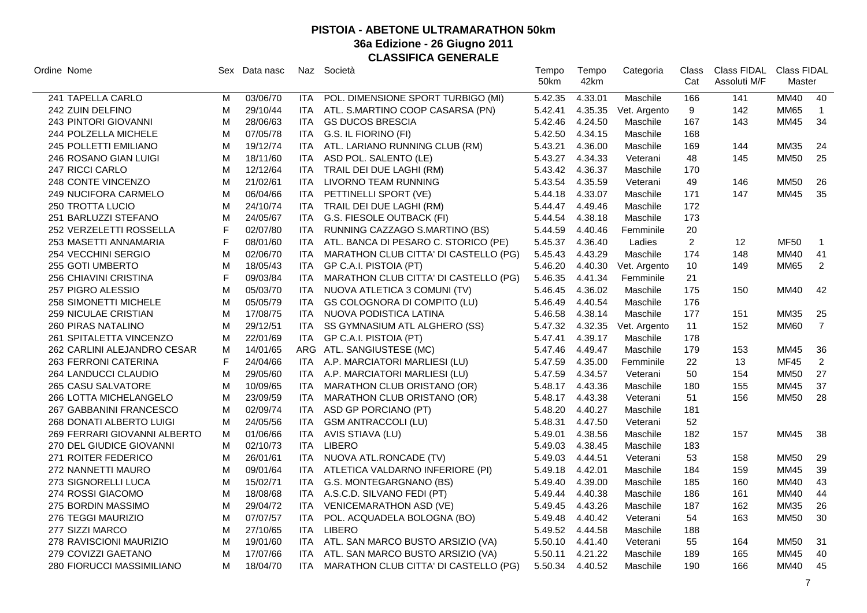| Ordine Nome                  |             | Sex Data nasc |            | Naz Società                               | Tempo<br>50km | Tempo<br>42km | Categoria    | Class<br>Cat   | Class FIDAL<br>Assoluti M/F | <b>Class FIDAL</b><br><b>Master</b> |                |
|------------------------------|-------------|---------------|------------|-------------------------------------------|---------------|---------------|--------------|----------------|-----------------------------|-------------------------------------|----------------|
| 241 TAPELLA CARLO            | м           | 03/06/70      |            | ITA POL. DIMENSIONE SPORT TURBIGO (MI)    | 5.42.35       | 4.33.01       | Maschile     | 166            | 141                         | <b>MM40</b>                         | 40             |
| 242 ZUIN DELFINO             | M           | 29/10/44      |            | ITA ATL. S.MARTINO COOP CASARSA (PN)      | 5.42.41       | 4.35.35       | Vet. Argento | 9              | 142                         | <b>MM65</b>                         | $\overline{1}$ |
| 243 PINTORI GIOVANNI         | M           | 28/06/63      | ITA        | <b>GS DUCOS BRESCIA</b>                   | 5.42.46       | 4.24.50       | Maschile     | 167            | 143                         | <b>MM45</b>                         | 34             |
| 244 POLZELLA MICHELE         | M           | 07/05/78      |            | ITA G.S. IL FIORINO (FI)                  | 5.42.50       | 4.34.15       | Maschile     | 168            |                             |                                     |                |
| 245 POLLETTI EMILIANO        | M           | 19/12/74      |            | ITA ATL. LARIANO RUNNING CLUB (RM)        | 5.43.21       | 4.36.00       | Maschile     | 169            | 144                         | <b>MM35</b>                         | 24             |
| 246 ROSANO GIAN LUIGI        | M           | 18/11/60      |            | ITA ASD POL. SALENTO (LE)                 | 5.43.27       | 4.34.33       | Veterani     | 48             | 145                         | <b>MM50</b>                         | 25             |
| 247 RICCI CARLO              | M           | 12/12/64      |            | ITA TRAIL DEI DUE LAGHI (RM)              | 5.43.42       | 4.36.37       | Maschile     | 170            |                             |                                     |                |
| 248 CONTE VINCENZO           | M           | 21/02/61      |            | ITA LIVORNO TEAM RUNNING                  | 5.43.54       | 4.35.59       | Veterani     | 49             | 146                         | <b>MM50</b>                         | 26             |
| 249 NUCIFORA CARMELO         | M           | 06/04/66      |            | ITA PETTINELLI SPORT (VE)                 | 5.44.18       | 4.33.07       | Maschile     | 171            | 147                         | <b>MM45</b>                         | 35             |
| <b>250 TROTTA LUCIO</b>      | M           | 24/10/74      |            | ITA TRAIL DEI DUE LAGHI (RM)              | 5.44.47       | 4.49.46       | Maschile     | 172            |                             |                                     |                |
| 251 BARLUZZI STEFANO         | M           | 24/05/67      |            | ITA G.S. FIESOLE OUTBACK (FI)             | 5.44.54       | 4.38.18       | Maschile     | 173            |                             |                                     |                |
| 252 VERZELETTI ROSSELLA      | F           | 02/07/80      |            | ITA RUNNING CAZZAGO S.MARTINO (BS)        | 5.44.59       | 4.40.46       | Femminile    | 20             |                             |                                     |                |
| 253 MASETTI ANNAMARIA        | F           | 08/01/60      |            | ITA ATL. BANCA DI PESARO C. STORICO (PE)  | 5.45.37       | 4.36.40       | Ladies       | $\overline{2}$ | $12 \overline{ }$           | <b>MF50</b>                         | $\overline{1}$ |
| 254 VECCHINI SERGIO          | M           | 02/06/70      |            | ITA MARATHON CLUB CITTA' DI CASTELLO (PG) | 5.45.43       | 4.43.29       | Maschile     | 174            | 148                         | <b>MM40</b>                         | 41             |
| 255 GOTI UMBERTO             | M           | 18/05/43      |            | ITA GP C.A.I. PISTOIA (PT)                | 5.46.20       | 4.40.30       | Vet. Argento | 10             | 149                         | <b>MM65</b>                         | $\overline{2}$ |
| 256 CHIAVINI CRISTINA        | $\mathsf F$ | 09/03/84      |            | ITA MARATHON CLUB CITTA' DI CASTELLO (PG) | 5.46.35       | 4.41.34       | Femminile    | 21             |                             |                                     |                |
| 257 PIGRO ALESSIO            | M           | 05/03/70      |            | ITA NUOVA ATLETICA 3 COMUNI (TV)          | 5.46.45       | 4.36.02       | Maschile     | 175            | 150                         | <b>MM40</b>                         | 42             |
| 258 SIMONETTI MICHELE        | M           | 05/05/79      |            | ITA GS COLOGNORA DI COMPITO (LU)          | 5.46.49       | 4.40.54       | Maschile     | 176            |                             |                                     |                |
| 259 NICULAE CRISTIAN         | M           | 17/08/75      |            | ITA NUOVA PODISTICA LATINA                | 5.46.58       | 4.38.14       | Maschile     | 177            | 151                         | <b>MM35</b>                         | 25             |
| 260 PIRAS NATALINO           | M           | 29/12/51      |            | ITA SS GYMNASIUM ATL ALGHERO (SS)         | 5.47.32       | 4.32.35       | Vet. Argento | 11             | 152                         | <b>MM60</b>                         | $\overline{7}$ |
| 261 SPITALETTA VINCENZO      | M           | 22/01/69      |            | ITA GP C.A.I. PISTOIA (PT)                | 5.47.41       | 4.39.17       | Maschile     | 178            |                             |                                     |                |
| 262 CARLINI ALEJANDRO CESAR  | M           | 14/01/65      |            | ARG ATL. SANGIUSTESE (MC)                 | 5.47.46       | 4.49.47       | Maschile     | 179            | 153                         | <b>MM45</b>                         | 36             |
| 263 FERRONI CATERINA         | F           | 24/04/66      |            | ITA A.P. MARCIATORI MARLIESI (LU)         | 5.47.59       | 4.35.00       | Femminile    | 22             | 13                          | <b>MF45</b>                         | $\overline{2}$ |
| 264 LANDUCCI CLAUDIO         | M           | 29/05/60      |            | ITA A.P. MARCIATORI MARLIESI (LU)         | 5.47.59       | 4.34.57       | Veterani     | 50             | 154                         | <b>MM50</b>                         | 27             |
| 265 CASU SALVATORE           | M           | 10/09/65      |            | ITA MARATHON CLUB ORISTANO (OR)           | 5.48.17       | 4.43.36       | Maschile     | 180            | 155                         | MM45                                | 37             |
| 266 LOTTA MICHELANGELO       | M           | 23/09/59      |            | ITA MARATHON CLUB ORISTANO (OR)           | 5.48.17       | 4.43.38       | Veterani     | 51             | 156                         | <b>MM50</b>                         | 28             |
| 267 GABBANINI FRANCESCO      | M           | 02/09/74      |            | ITA ASD GP PORCIANO (PT)                  | 5.48.20       | 4.40.27       | Maschile     | 181            |                             |                                     |                |
| 268 DONATI ALBERTO LUIGI     | M           | 24/05/56      |            | ITA GSM ANTRACCOLI (LU)                   | 5.48.31       | 4.47.50       | Veterani     | 52             |                             |                                     |                |
| 269 FERRARI GIOVANNI ALBERTO | M           | 01/06/66      |            | ITA AVIS STIAVA (LU)                      | 5.49.01       | 4.38.56       | Maschile     | 182            | 157                         | <b>MM45</b>                         | 38             |
| 270 DEL GIUDICE GIOVANNI     | M           | 02/10/73      | <b>ITA</b> | <b>LIBERO</b>                             | 5.49.03       | 4.38.45       | Maschile     | 183            |                             |                                     |                |
| 271 ROITER FEDERICO          | M           | 26/01/61      |            | ITA NUOVA ATL.RONCADE (TV)                | 5.49.03       | 4.44.51       | Veterani     | 53             | 158                         | MM50                                | 29             |
| 272 NANNETTI MAURO           | M           | 09/01/64      |            | ITA ATLETICA VALDARNO INFERIORE (PI)      | 5.49.18       | 4.42.01       | Maschile     | 184            | 159                         | <b>MM45</b>                         | 39             |
| 273 SIGNORELLI LUCA          | M           | 15/02/71      |            | ITA G.S. MONTEGARGNANO (BS)               | 5.49.40       | 4.39.00       | Maschile     | 185            | 160                         | <b>MM40</b>                         | 43             |
| 274 ROSSI GIACOMO            | M           | 18/08/68      |            | ITA A.S.C.D. SILVANO FEDI (PT)            | 5.49.44       | 4.40.38       | Maschile     | 186            | 161                         | <b>MM40</b>                         | 44             |
| 275 BORDIN MASSIMO           | M           | 29/04/72      |            | ITA VENICEMARATHON ASD (VE)               | 5.49.45       | 4.43.26       | Maschile     | 187            | 162                         | <b>MM35</b>                         | 26             |
| 276 TEGGI MAURIZIO           | M           | 07/07/57      | ITA        | POL. ACQUADELA BOLOGNA (BO)               | 5.49.48       | 4.40.42       | Veterani     | 54             | 163                         | <b>MM50</b>                         | 30             |
| 277 SIZZI MARCO              | M           | 27/10/65      |            | ITA LIBERO                                | 5.49.52       | 4.44.58       | Maschile     | 188            |                             |                                     |                |
| 278 RAVISCIONI MAURIZIO      | M           | 19/01/60      | ITA.       | ATL. SAN MARCO BUSTO ARSIZIO (VA)         | 5.50.10       | 4.41.40       | Veterani     | 55             | 164                         | <b>MM50</b>                         | 31             |
| 279 COVIZZI GAETANO          | M           | 17/07/66      | ITA.       | ATL. SAN MARCO BUSTO ARSIZIO (VA)         | 5.50.11       | 4.21.22       | Maschile     | 189            | 165                         | <b>MM45</b>                         | 40             |
| 280 FIORUCCI MASSIMILIANO    | M           | 18/04/70      | ITA.       | MARATHON CLUB CITTA' DI CASTELLO (PG)     | 5.50.34       | 4.40.52       | Maschile     | 190            | 166                         | MM40                                | 45             |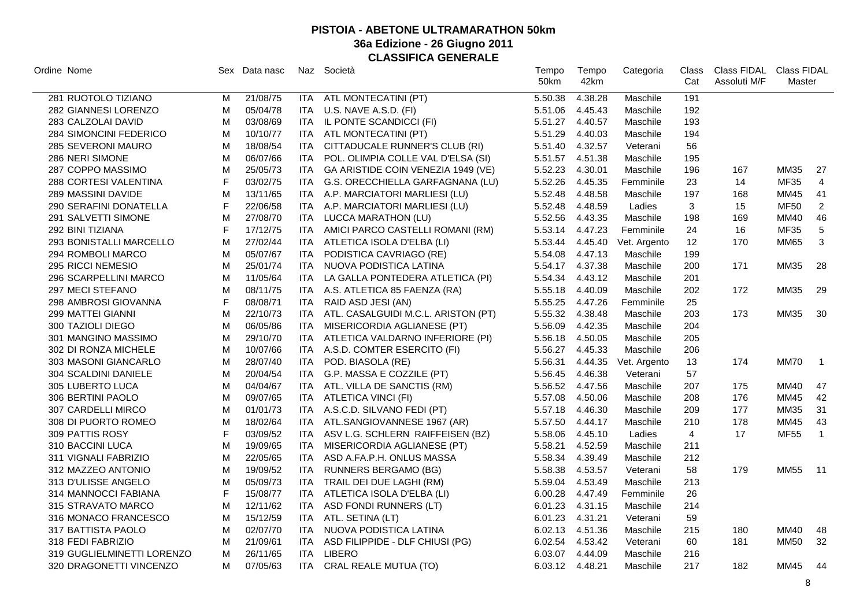| Ordine Nome |                            |   | Sex Data nasc |            | Naz Società                          | Tempo<br>50km | Tempo<br>42km | Categoria    | Class<br>Cat   | Assoluti M/F | Class FIDAL Class FIDAL<br>Master |                |
|-------------|----------------------------|---|---------------|------------|--------------------------------------|---------------|---------------|--------------|----------------|--------------|-----------------------------------|----------------|
|             | 281 RUOTOLO TIZIANO        | м | 21/08/75      | ITA.       | ATL MONTECATINI (PT)                 | 5.50.38       | 4.38.28       | Maschile     | 191            |              |                                   |                |
|             | 282 GIANNESI LORENZO       | M | 05/04/78      | ITA.       | U.S. NAVE A.S.D. (FI)                | 5.51.06       | 4.45.43       | Maschile     | 192            |              |                                   |                |
|             | 283 CALZOLAI DAVID         | M | 03/08/69      | ITA.       | IL PONTE SCANDICCI (FI)              | 5.51.27       | 4.40.57       | Maschile     | 193            |              |                                   |                |
|             | 284 SIMONCINI FEDERICO     | M | 10/10/77      |            | ITA ATL MONTECATINI (PT)             | 5.51.29       | 4.40.03       | Maschile     | 194            |              |                                   |                |
|             | 285 SEVERONI MAURO         | M | 18/08/54      | ITA.       | CITTADUCALE RUNNER'S CLUB (RI)       | 5.51.40       | 4.32.57       | Veterani     | 56             |              |                                   |                |
|             | 286 NERI SIMONE            | M | 06/07/66      | <b>ITA</b> | POL. OLIMPIA COLLE VAL D'ELSA (SI)   | 5.51.57       | 4.51.38       | Maschile     | 195            |              |                                   |                |
|             | 287 COPPO MASSIMO          | M | 25/05/73      | ITA        | GA ARISTIDE COIN VENEZIA 1949 (VE)   | 5.52.23       | 4.30.01       | Maschile     | 196            | 167          | MM35                              | 27             |
|             | 288 CORTESI VALENTINA      | F | 03/02/75      | ITA        | G.S. ORECCHIELLA GARFAGNANA (LU)     | 5.52.26       | 4.45.35       | Femminile    | 23             | 14           | <b>MF35</b>                       | $\overline{4}$ |
|             | 289 MASSINI DAVIDE         | M | 13/11/65      |            | ITA A.P. MARCIATORI MARLIESI (LU)    | 5.52.48       | 4.48.58       | Maschile     | 197            | 168          | MM45                              | 41             |
|             | 290 SERAFINI DONATELLA     | F | 22/06/58      |            | ITA A.P. MARCIATORI MARLIESI (LU)    | 5.52.48       | 4.48.59       | Ladies       | $\mathbf 3$    | 15           | <b>MF50</b>                       | $\overline{2}$ |
|             | 291 SALVETTI SIMONE        | M | 27/08/70      |            | ITA LUCCA MARATHON (LU)              | 5.52.56       | 4.43.35       | Maschile     | 198            | 169          | <b>MM40</b>                       | 46             |
|             | 292 BINI TIZIANA           | F | 17/12/75      |            | ITA AMICI PARCO CASTELLI ROMANI (RM) | 5.53.14       | 4.47.23       | Femminile    | 24             | 16           | <b>MF35</b>                       | $\sqrt{5}$     |
|             | 293 BONISTALLI MARCELLO    | M | 27/02/44      |            | ITA ATLETICA ISOLA D'ELBA (LI)       | 5.53.44       | 4.45.40       | Vet. Argento | 12             | 170          | <b>MM65</b>                       | 3              |
|             | 294 ROMBOLI MARCO          | M | 05/07/67      | <b>ITA</b> | PODISTICA CAVRIAGO (RE)              | 5.54.08       | 4.47.13       | Maschile     | 199            |              |                                   |                |
|             | 295 RICCI NEMESIO          | M | 25/01/74      | ITA        | NUOVA PODISTICA LATINA               | 5.54.17       | 4.37.38       | Maschile     | 200            | 171          | <b>MM35</b>                       | 28             |
|             | 296 SCARPELLINI MARCO      | M | 11/05/64      |            | ITA LA GALLA PONTEDERA ATLETICA (PI) | 5.54.34       | 4.43.12       | Maschile     | 201            |              |                                   |                |
|             | 297 MECI STEFANO           | M | 08/11/75      |            | ITA A.S. ATLETICA 85 FAENZA (RA)     | 5.55.18       | 4.40.09       | Maschile     | 202            | 172          | <b>MM35</b>                       | 29             |
|             | 298 AMBROSI GIOVANNA       | F | 08/08/71      |            | ITA RAID ASD JESI (AN)               | 5.55.25       | 4.47.26       | Femminile    | 25             |              |                                   |                |
|             | <b>299 MATTEI GIANNI</b>   | M | 22/10/73      | ITA        | ATL. CASALGUIDI M.C.L. ARISTON (PT)  | 5.55.32       | 4.38.48       | Maschile     | 203            | 173          | <b>MM35</b>                       | 30             |
|             | 300 TAZIOLI DIEGO          | M | 06/05/86      | ITA.       | MISERICORDIA AGLIANESE (PT)          | 5.56.09       | 4.42.35       | Maschile     | 204            |              |                                   |                |
|             | 301 MANGINO MASSIMO        | M | 29/10/70      |            | ITA ATLETICA VALDARNO INFERIORE (PI) | 5.56.18       | 4.50.05       | Maschile     | 205            |              |                                   |                |
|             | 302 DI RONZA MICHELE       | M | 10/07/66      | ITA        | A.S.D. COMTER ESERCITO (FI)          | 5.56.27       | 4.45.33       | Maschile     | 206            |              |                                   |                |
|             | 303 MASONI GIANCARLO       | M | 28/07/40      | ITA        | POD. BIASOLA (RE)                    | 5.56.31       | 4.44.35       | Vet. Argento | 13             | 174          | <b>MM70</b>                       | $\overline{1}$ |
|             | 304 SCALDINI DANIELE       | м | 20/04/54      | ITA        | G.P. MASSA E COZZILE (PT)            | 5.56.45       | 4.46.38       | Veterani     | 57             |              |                                   |                |
|             | 305 LUBERTO LUCA           | м | 04/04/67      |            | ITA ATL. VILLA DE SANCTIS (RM)       | 5.56.52       | 4.47.56       | Maschile     | 207            | 175          | MM40                              | 47             |
|             | 306 BERTINI PAOLO          | M | 09/07/65      | <b>ITA</b> | ATLETICA VINCI (FI)                  | 5.57.08       | 4.50.06       | Maschile     | 208            | 176          | <b>MM45</b>                       | 42             |
|             | 307 CARDELLI MIRCO         | M | 01/01/73      |            | ITA A.S.C.D. SILVANO FEDI (PT)       | 5.57.18       | 4.46.30       | Maschile     | 209            | 177          | <b>MM35</b>                       | 31             |
|             | 308 DI PUORTO ROMEO        | M | 18/02/64      |            | ITA ATL.SANGIOVANNESE 1967 (AR)      | 5.57.50       | 4.44.17       | Maschile     | 210            | 178          | <b>MM45</b>                       | 43             |
|             | 309 PATTIS ROSY            | F | 03/09/52      |            | ITA ASV L.G. SCHLERN RAIFFEISEN (BZ) | 5.58.06       | 4.45.10       | Ladies       | $\overline{4}$ | 17           | <b>MF55</b>                       | $\mathbf{1}$   |
|             | 310 BACCINI LUCA           | M | 19/09/65      | ITA        | MISERICORDIA AGLIANESE (PT)          | 5.58.21       | 4.52.59       | Maschile     | 211            |              |                                   |                |
|             | 311 VIGNALI FABRIZIO       | M | 22/05/65      |            | ITA ASD A.FA.P.H. ONLUS MASSA        | 5.58.34       | 4.39.49       | Maschile     | 212            |              |                                   |                |
|             | 312 MAZZEO ANTONIO         | M | 19/09/52      |            | ITA RUNNERS BERGAMO (BG)             | 5.58.38       | 4.53.57       | Veterani     | 58             | 179          | <b>MM55</b>                       | 11             |
|             | 313 D'ULISSE ANGELO        | M | 05/09/73      |            | ITA TRAIL DEI DUE LAGHI (RM)         | 5.59.04       | 4.53.49       | Maschile     | 213            |              |                                   |                |
|             | 314 MANNOCCI FABIANA       | F | 15/08/77      | ITA        | ATLETICA ISOLA D'ELBA (LI)           | 6.00.28       | 4.47.49       | Femminile    | 26             |              |                                   |                |
|             | 315 STRAVATO MARCO         | M | 12/11/62      | ITA        | ASD FONDI RUNNERS (LT)               | 6.01.23       | 4.31.15       | Maschile     | 214            |              |                                   |                |
|             | 316 MONACO FRANCESCO       | м | 15/12/59      | ITA.       | ATL. SETINA (LT)                     | 6.01.23       | 4.31.21       | Veterani     | 59             |              |                                   |                |
|             | 317 BATTISTA PAOLO         | м | 02/07/70      | ITA.       | NUOVA PODISTICA LATINA               | 6.02.13       | 4.51.36       | Maschile     | 215            | 180          | <b>MM40</b>                       | 48             |
|             | 318 FEDI FABRIZIO          | M | 21/09/61      | ITA.       | ASD FILIPPIDE - DLF CHIUSI (PG)      | 6.02.54       | 4.53.42       | Veterani     | 60             | 181          | <b>MM50</b>                       | 32             |
|             | 319 GUGLIELMINETTI LORENZO | M | 26/11/65      | ITA.       | <b>LIBERO</b>                        | 6.03.07       | 4.44.09       | Maschile     | 216            |              |                                   |                |
|             | 320 DRAGONETTI VINCENZO    | M | 07/05/63      | <b>ITA</b> | <b>CRAL REALE MUTUA (TO)</b>         | 6.03.12       | 4.48.21       | Maschile     | 217            | 182          | <b>MM45</b>                       | 44             |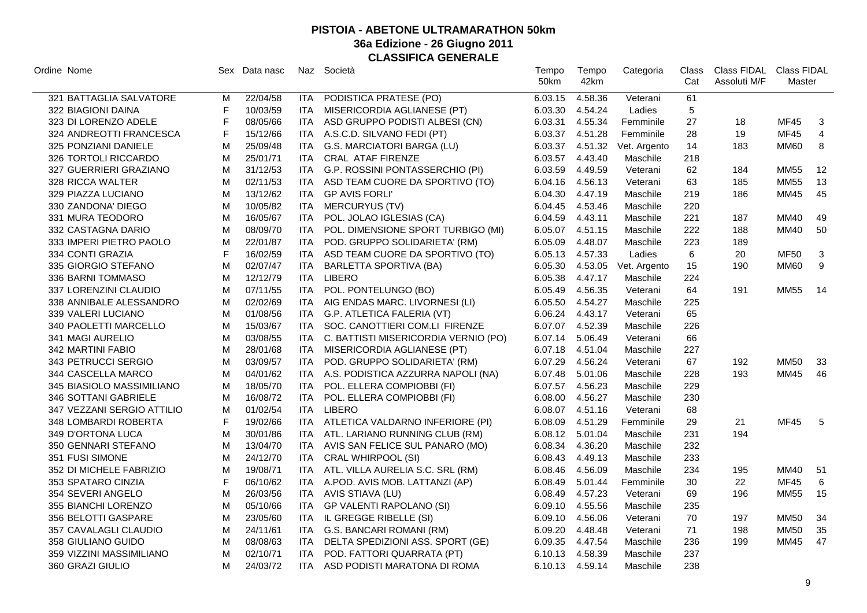| Ordine Nome |                            |              | Sex Data nasc |       | Naz Società                            | Tempo   | Tempo   | Categoria    | Class   | Class FIDAL Class FIDAL |             |                  |
|-------------|----------------------------|--------------|---------------|-------|----------------------------------------|---------|---------|--------------|---------|-------------------------|-------------|------------------|
|             |                            |              |               |       |                                        | 50km    | 42km    |              | Cat     | Assoluti M/F            | Master      |                  |
|             | 321 BATTAGLIA SALVATORE    | М            | 22/04/58      | ITA   | PODISTICA PRATESE (PO)                 | 6.03.15 | 4.58.36 | Veterani     | 61      |                         |             |                  |
|             | 322 BIAGIONI DAINA         | $\mathsf{F}$ | 10/03/59      | ITA.  | MISERICORDIA AGLIANESE (PT)            | 6.03.30 | 4.54.24 | Ladies       | 5       |                         |             |                  |
|             | 323 DI LORENZO ADELE       | F            | 08/05/66      | ITA   | ASD GRUPPO PODISTI ALBESI (CN)         | 6.03.31 | 4.55.34 | Femminile    | 27      | 18                      | <b>MF45</b> | 3                |
|             | 324 ANDREOTTI FRANCESCA    | F            | 15/12/66      |       | ITA A.S.C.D. SILVANO FEDI (PT)         | 6.03.37 | 4.51.28 | Femminile    | 28      | 19                      | <b>MF45</b> | $\overline{4}$   |
|             | 325 PONZIANI DANIELE       | M            | 25/09/48      |       | ITA G.S. MARCIATORI BARGA (LU)         | 6.03.37 | 4.51.32 | Vet. Argento | 14      | 183                     | <b>MM60</b> | $\, 8$           |
|             | 326 TORTOLI RICCARDO       | M            | 25/01/71      |       | ITA CRAL ATAF FIRENZE                  | 6.03.57 | 4.43.40 | Maschile     | 218     |                         |             |                  |
|             | 327 GUERRIERI GRAZIANO     | M            | 31/12/53      | ITA   | G.P. ROSSINI PONTASSERCHIO (PI)        | 6.03.59 | 4.49.59 | Veterani     | 62      | 184                     | <b>MM55</b> | 12               |
|             | 328 RICCA WALTER           | M            | 02/11/53      |       | ITA ASD TEAM CUORE DA SPORTIVO (TO)    | 6.04.16 | 4.56.13 | Veterani     | 63      | 185                     | <b>MM55</b> | 13               |
|             | 329 PIAZZA LUCIANO         | M            | 13/12/62      | ITA   | <b>GP AVIS FORLI'</b>                  | 6.04.30 | 4.47.19 | Maschile     | 219     | 186                     | <b>MM45</b> | 45               |
|             | 330 ZANDONA' DIEGO         | M            | 10/05/82      |       | ITA MERCURYUS (TV)                     | 6.04.45 | 4.53.46 | Maschile     | 220     |                         |             |                  |
|             | 331 MURA TEODORO           | M            | 16/05/67      | ITA I | POL. JOLAO IGLESIAS (CA)               | 6.04.59 | 4.43.11 | Maschile     | 221     | 187                     | MM40        | 49               |
|             | 332 CASTAGNA DARIO         | M            | 08/09/70      |       | ITA POL. DIMENSIONE SPORT TURBIGO (MI) | 6.05.07 | 4.51.15 | Maschile     | 222     | 188                     | <b>MM40</b> | 50               |
|             | 333 IMPERI PIETRO PAOLO    | M            | 22/01/87      |       | ITA POD. GRUPPO SOLIDARIETA' (RM)      | 6.05.09 | 4.48.07 | Maschile     | 223     | 189                     |             |                  |
|             | 334 CONTI GRAZIA           | $\mathsf F$  | 16/02/59      |       | ITA ASD TEAM CUORE DA SPORTIVO (TO)    | 6.05.13 | 4.57.33 | Ladies       | $\,6\,$ | 20                      | <b>MF50</b> | 3                |
|             | 335 GIORGIO STEFANO        | M            | 02/07/47      | ITA   | <b>BARLETTA SPORTIVA (BA)</b>          | 6.05.30 | 4.53.05 | Vet. Argento | 15      | 190                     | <b>MM60</b> | $\boldsymbol{9}$ |
|             | 336 BARNI TOMMASO          | M            | 12/12/79      |       | ITA LIBERO                             | 6.05.38 | 4.47.17 | Maschile     | 224     |                         |             |                  |
|             | 337 LORENZINI CLAUDIO      | M            | 07/11/55      | ITA I | POL. PONTELUNGO (BO)                   | 6.05.49 | 4.56.35 | Veterani     | 64      | 191                     | <b>MM55</b> | 14               |
|             | 338 ANNIBALE ALESSANDRO    | M            | 02/02/69      | ITA   | AIG ENDAS MARC. LIVORNESI (LI)         | 6.05.50 | 4.54.27 | Maschile     | 225     |                         |             |                  |
|             | 339 VALERI LUCIANO         | M            | 01/08/56      | ITA   | G.P. ATLETICA FALERIA (VT)             | 6.06.24 | 4.43.17 | Veterani     | 65      |                         |             |                  |
|             | 340 PAOLETTI MARCELLO      | M            | 15/03/67      |       | ITA SOC. CANOTTIERI COM.LI FIRENZE     | 6.07.07 | 4.52.39 | Maschile     | 226     |                         |             |                  |
|             | 341 MAGI AURELIO           | M            | 03/08/55      | ITA   | C. BATTISTI MISERICORDIA VERNIO (PO)   | 6.07.14 | 5.06.49 | Veterani     | 66      |                         |             |                  |
|             | 342 MARTINI FABIO          | M            | 28/01/68      |       | ITA MISERICORDIA AGLIANESE (PT)        | 6.07.18 | 4.51.04 | Maschile     | 227     |                         |             |                  |
|             | 343 PETRUCCI SERGIO        | M            | 03/09/57      | ITA   | POD. GRUPPO SOLIDARIETA' (RM)          | 6.07.29 | 4.56.24 | Veterani     | 67      | 192                     | <b>MM50</b> | 33               |
|             | 344 CASCELLA MARCO         | M            | 04/01/62      |       | ITA A.S. PODISTICA AZZURRA NAPOLI (NA) | 6.07.48 | 5.01.06 | Maschile     | 228     | 193                     | <b>MM45</b> | 46               |
|             | 345 BIASIOLO MASSIMILIANO  | M            | 18/05/70      |       | ITA POL. ELLERA COMPIOBBI (FI)         | 6.07.57 | 4.56.23 | Maschile     | 229     |                         |             |                  |
|             | 346 SOTTANI GABRIELE       | M            | 16/08/72      |       | ITA POL. ELLERA COMPIOBBI (FI)         | 6.08.00 | 4.56.27 | Maschile     | 230     |                         |             |                  |
|             | 347 VEZZANI SERGIO ATTILIO | M            | 01/02/54      |       | ITA LIBERO                             | 6.08.07 | 4.51.16 | Veterani     | 68      |                         |             |                  |
|             | 348 LOMBARDI ROBERTA       | F            | 19/02/66      |       | ITA ATLETICA VALDARNO INFERIORE (PI)   | 6.08.09 | 4.51.29 | Femminile    | 29      | 21                      | <b>MF45</b> | 5                |
|             | 349 D'ORTONA LUCA          | M            | 30/01/86      |       | ITA ATL. LARIANO RUNNING CLUB (RM)     | 6.08.12 | 5.01.04 | Maschile     | 231     | 194                     |             |                  |
|             | 350 GENNARI STEFANO        | M            | 13/04/70      |       | ITA AVIS SAN FELICE SUL PANARO (MO)    | 6.08.34 | 4.36.20 | Maschile     | 232     |                         |             |                  |
|             | 351 FUSI SIMONE            | M            | 24/12/70      |       | ITA CRAL WHIRPOOL (SI)                 | 6.08.43 | 4.49.13 | Maschile     | 233     |                         |             |                  |
|             | 352 DI MICHELE FABRIZIO    | M            | 19/08/71      |       | ITA ATL. VILLA AURELIA S.C. SRL (RM)   | 6.08.46 | 4.56.09 | Maschile     | 234     | 195                     | <b>MM40</b> | 51               |
|             | 353 SPATARO CINZIA         | F            | 06/10/62      |       | ITA A.POD. AVIS MOB. LATTANZI (AP)     | 6.08.49 | 5.01.44 | Femminile    | 30      | 22                      | <b>MF45</b> | 6                |
|             | 354 SEVERI ANGELO          | M            | 26/03/56      |       | ITA AVIS STIAVA (LU)                   | 6.08.49 | 4.57.23 | Veterani     | 69      | 196                     | <b>MM55</b> | 15               |
|             | 355 BIANCHI LORENZO        | M            | 05/10/66      | ITA   | <b>GP VALENTI RAPOLANO (SI)</b>        | 6.09.10 | 4.55.56 | Maschile     | 235     |                         |             |                  |
|             | 356 BELOTTI GASPARE        | M            | 23/05/60      | ITA   | IL GREGGE RIBELLE (SI)                 | 6.09.10 | 4.56.06 | Veterani     | 70      | 197                     | <b>MM50</b> | 34               |
|             | 357 CAVALAGLI CLAUDIO      | M            | 24/11/61      | ITA   | G.S. BANCARI ROMANI (RM)               | 6.09.20 | 4.48.48 | Veterani     | 71      | 198                     | <b>MM50</b> | 35               |
|             | 358 GIULIANO GUIDO         | M            | 08/08/63      |       | ITA DELTA SPEDIZIONI ASS. SPORT (GE)   | 6.09.35 | 4.47.54 | Maschile     | 236     | 199                     | <b>MM45</b> | 47               |
|             | 359 VIZZINI MASSIMILIANO   | M            | 02/10/71      | ITA.  | POD. FATTORI QUARRATA (PT)             | 6.10.13 | 4.58.39 | Maschile     | 237     |                         |             |                  |
|             | 360 GRAZI GIULIO           | М            | 24/03/72      |       | ITA ASD PODISTI MARATONA DI ROMA       | 6.10.13 | 4.59.14 | Maschile     | 238     |                         |             |                  |
|             |                            |              |               |       |                                        |         |         |              |         |                         |             |                  |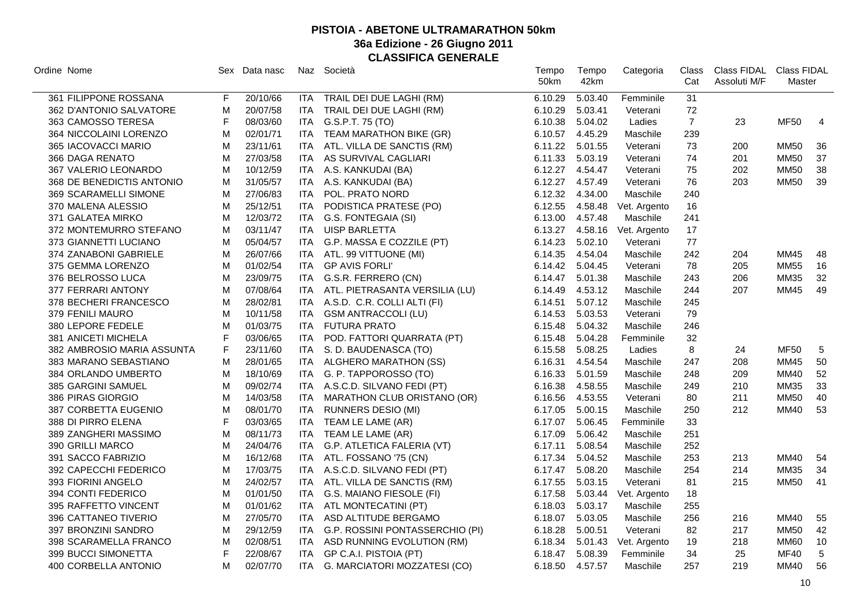| Ordine Nome                |   | Sex Data nasc |            | Naz Società                     | Tempo   | Tempo   | Categoria    | Class          | Class FIDAL  | Class FIDAL |            |
|----------------------------|---|---------------|------------|---------------------------------|---------|---------|--------------|----------------|--------------|-------------|------------|
|                            |   |               |            |                                 | 50km    | 42km    |              | Cat            | Assoluti M/F | Master      |            |
| 361 FILIPPONE ROSSANA      | F | 20/10/66      | ITA        | TRAIL DEI DUE LAGHI (RM)        | 6.10.29 | 5.03.40 | Femminile    | 31             |              |             |            |
| 362 D'ANTONIO SALVATORE    | M | 20/07/58      | <b>ITA</b> | TRAIL DEI DUE LAGHI (RM)        | 6.10.29 | 5.03.41 | Veterani     | 72             |              |             |            |
| 363 CAMOSSO TERESA         | F | 08/03/60      |            | ITA G.S.P.T. 75 (TO)            | 6.10.38 | 5.04.02 | Ladies       | $\overline{7}$ | 23           | <b>MF50</b> | 4          |
| 364 NICCOLAINI LORENZO     | M | 02/01/71      | ITA        | TEAM MARATHON BIKE (GR)         | 6.10.57 | 4.45.29 | Maschile     | 239            |              |             |            |
| 365 IACOVACCI MARIO        | M | 23/11/61      | ITA        | ATL. VILLA DE SANCTIS (RM)      | 6.11.22 | 5.01.55 | Veterani     | 73             | 200          | <b>MM50</b> | 36         |
| 366 DAGA RENATO            | M | 27/03/58      | ITA        | AS SURVIVAL CAGLIARI            | 6.11.33 | 5.03.19 | Veterani     | 74             | 201          | <b>MM50</b> | 37         |
| 367 VALERIO LEONARDO       | M | 10/12/59      | ITA        | A.S. KANKUDAI (BA)              | 6.12.27 | 4.54.47 | Veterani     | 75             | 202          | <b>MM50</b> | 38         |
| 368 DE BENEDICTIS ANTONIO  | M | 31/05/57      |            | ITA A.S. KANKUDAI (BA)          | 6.12.27 | 4.57.49 | Veterani     | 76             | 203          | <b>MM50</b> | 39         |
| 369 SCARAMELLI SIMONE      | M | 27/06/83      | <b>ITA</b> | POL. PRATO NORD                 | 6.12.32 | 4.34.00 | Maschile     | 240            |              |             |            |
| 370 MALENA ALESSIO         | M | 25/12/51      | <b>ITA</b> | PODISTICA PRATESE (PO)          | 6.12.55 | 4.58.48 | Vet. Argento | 16             |              |             |            |
| 371 GALATEA MIRKO          | M | 12/03/72      | <b>ITA</b> | G.S. FONTEGAIA (SI)             | 6.13.00 | 4.57.48 | Maschile     | 241            |              |             |            |
| 372 MONTEMURRO STEFANO     | M | 03/11/47      | ITA        | <b>UISP BARLETTA</b>            | 6.13.27 | 4.58.16 | Vet. Argento | 17             |              |             |            |
| 373 GIANNETTI LUCIANO      | M | 05/04/57      | ITA.       | G.P. MASSA E COZZILE (PT)       | 6.14.23 | 5.02.10 | Veterani     | $77$           |              |             |            |
| 374 ZANABONI GABRIELE      | M | 26/07/66      | ITA        | ATL. 99 VITTUONE (MI)           | 6.14.35 | 4.54.04 | Maschile     | 242            | 204          | <b>MM45</b> | 48         |
| 375 GEMMA LORENZO          | м | 01/02/54      | ITA        | <b>GP AVIS FORLI</b>            | 6.14.42 | 5.04.45 | Veterani     | 78             | 205          | <b>MM55</b> | 16         |
| 376 BELROSSO LUCA          | M | 23/09/75      |            | ITA G.S.R. FERRERO (CN)         | 6.14.47 | 5.01.38 | Maschile     | 243            | 206          | <b>MM35</b> | 32         |
| 377 FERRARI ANTONY         | M | 07/08/64      | <b>ITA</b> | ATL. PIETRASANTA VERSILIA (LU)  | 6.14.49 | 4.53.12 | Maschile     | 244            | 207          | <b>MM45</b> | 49         |
| 378 BECHERI FRANCESCO      | M | 28/02/81      | <b>ITA</b> | A.S.D. C.R. COLLI ALTI (FI)     | 6.14.51 | 5.07.12 | Maschile     | 245            |              |             |            |
| 379 FENILI MAURO           | M | 10/11/58      | <b>ITA</b> | <b>GSM ANTRACCOLI (LU)</b>      | 6.14.53 | 5.03.53 | Veterani     | 79             |              |             |            |
| 380 LEPORE FEDELE          | M | 01/03/75      | <b>ITA</b> | <b>FUTURA PRATO</b>             | 6.15.48 | 5.04.32 | Maschile     | 246            |              |             |            |
| 381 ANICETI MICHELA        | F | 03/06/65      | <b>ITA</b> | POD. FATTORI QUARRATA (PT)      | 6.15.48 | 5.04.28 | Femminile    | 32             |              |             |            |
| 382 AMBROSIO MARIA ASSUNTA | F | 23/11/60      | <b>ITA</b> | S. D. BAUDENASCA (TO)           | 6.15.58 | 5.08.25 | Ladies       | 8              | 24           | <b>MF50</b> | 5          |
| 383 MARANO SEBASTIANO      | M | 28/01/65      | <b>ITA</b> | ALGHERO MARATHON (SS)           | 6.16.31 | 4.54.54 | Maschile     | 247            | 208          | <b>MM45</b> | 50         |
| 384 ORLANDO UMBERTO        | м | 18/10/69      |            | ITA G. P. TAPPOROSSO (TO)       | 6.16.33 | 5.01.59 | Maschile     | 248            | 209          | MM40        | 52         |
| 385 GARGINI SAMUEL         | M | 09/02/74      |            | ITA A.S.C.D. SILVANO FEDI (PT)  | 6.16.38 | 4.58.55 | Maschile     | 249            | 210          | <b>MM35</b> | 33         |
| 386 PIRAS GIORGIO          | M | 14/03/58      |            | ITA MARATHON CLUB ORISTANO (OR) | 6.16.56 | 4.53.55 | Veterani     | 80             | 211          | <b>MM50</b> | 40         |
| 387 CORBETTA EUGENIO       | M | 08/01/70      | <b>ITA</b> | <b>RUNNERS DESIO (MI)</b>       | 6.17.05 | 5.00.15 | Maschile     | 250            | 212          | <b>MM40</b> | 53         |
| 388 DI PIRRO ELENA         | F | 03/03/65      | ITA        | TEAM LE LAME (AR)               | 6.17.07 | 5.06.45 | Femminile    | 33             |              |             |            |
| 389 ZANGHERI MASSIMO       | M | 08/11/73      |            | ITA TEAM LE LAME (AR)           | 6.17.09 | 5.06.42 | Maschile     | 251            |              |             |            |
| 390 GRILLI MARCO           | M | 24/04/76      | ITA        | G.P. ATLETICA FALERIA (VT)      | 6.17.11 | 5.08.54 | Maschile     | 252            |              |             |            |
| 391 SACCO FABRIZIO         | M | 16/12/68      | ITA        | ATL. FOSSANO '75 (CN)           | 6.17.34 | 5.04.52 | Maschile     | 253            | 213          | <b>MM40</b> | 54         |
| 392 CAPECCHI FEDERICO      | M | 17/03/75      | ITA        | A.S.C.D. SILVANO FEDI (PT)      | 6.17.47 | 5.08.20 | Maschile     | 254            | 214          | <b>MM35</b> | 34         |
| 393 FIORINI ANGELO         | M | 24/02/57      | ITA        | ATL. VILLA DE SANCTIS (RM)      | 6.17.55 | 5.03.15 | Veterani     | 81             | 215          | <b>MM50</b> | 41         |
| 394 CONTI FEDERICO         | M | 01/01/50      | <b>ITA</b> | G.S. MAIANO FIESOLE (FI)        | 6.17.58 | 5.03.44 | Vet. Argento | 18             |              |             |            |
| 395 RAFFETTO VINCENT       | M | 01/01/62      | <b>ITA</b> | ATL MONTECATINI (PT)            | 6.18.03 | 5.03.17 | Maschile     | 255            |              |             |            |
| 396 CATTANEO TIVERIO       | M | 27/05/70      | <b>ITA</b> | ASD ALTITUDE BERGAMO            | 6.18.07 | 5.03.05 | Maschile     | 256            | 216          | <b>MM40</b> | 55         |
| 397 BRONZINI SANDRO        | M | 29/12/59      | ITA        | G.P. ROSSINI PONTASSERCHIO (PI) | 6.18.28 | 5.00.51 | Veterani     | 82             | 217          | <b>MM50</b> | 42         |
| 398 SCARAMELLA FRANCO      | M | 02/08/51      | ITA.       | ASD RUNNING EVOLUTION (RM)      | 6.18.34 | 5.01.43 | Vet. Argento | 19             | 218          | <b>MM60</b> | 10         |
| 399 BUCCI SIMONETTA        | F | 22/08/67      | ITA        | GP C.A.I. PISTOIA (PT)          | 6.18.47 | 5.08.39 | Femminile    | 34             | 25           | <b>MF40</b> | $\sqrt{5}$ |
| 400 CORBELLA ANTONIO       | M | 02/07/70      | ITA.       | G. MARCIATORI MOZZATESI (CO)    | 6.18.50 | 4.57.57 | Maschile     | 257            | 219          | MM40        | 56         |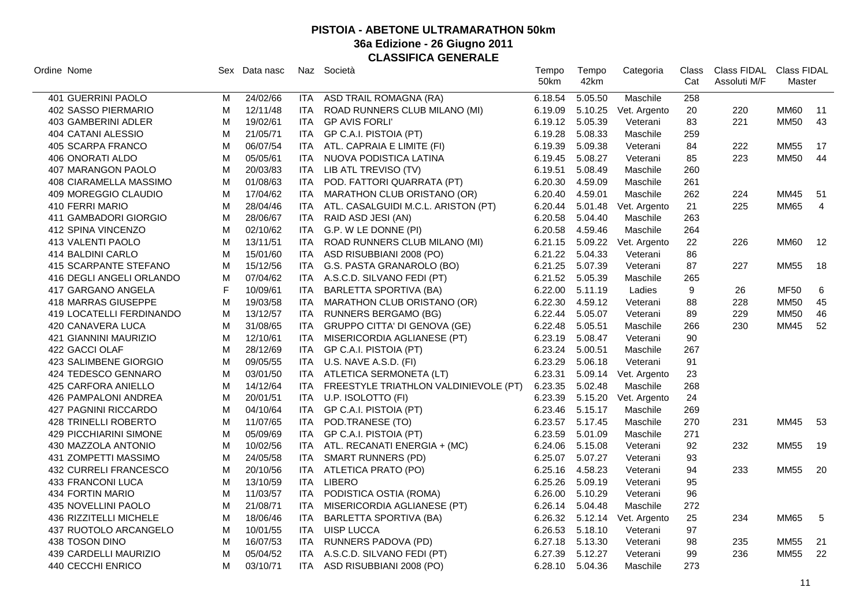| Ordine Nome              | Sex Data nasc<br>Naz Società<br>Tempo<br>50km |          | Tempo<br>42km | Categoria                                 | Class<br>Cat    | Class FIDAL Class FIDAL<br>Assoluti M/F | Master       |     |     |             |                |
|--------------------------|-----------------------------------------------|----------|---------------|-------------------------------------------|-----------------|-----------------------------------------|--------------|-----|-----|-------------|----------------|
| 401 GUERRINI PAOLO       | М                                             | 24/02/66 |               | ITA ASD TRAIL ROMAGNA (RA)                | 6.18.54         | 5.05.50                                 | Maschile     | 258 |     |             |                |
| 402 SASSO PIERMARIO      | M                                             | 12/11/48 | ITA           | ROAD RUNNERS CLUB MILANO (MI)             | 6.19.09         | 5.10.25                                 | Vet. Argento | 20  | 220 | <b>MM60</b> | 11             |
| 403 GAMBERINI ADLER      | M                                             | 19/02/61 |               | ITA GP AVIS FORLI'                        |                 | 6.19.12 5.05.39                         | Veterani     | 83  | 221 | <b>MM50</b> | 43             |
| 404 CATANI ALESSIO       | M                                             | 21/05/71 |               | ITA GP C.A.I. PISTOIA (PT)                | 6.19.28         | 5.08.33                                 | Maschile     | 259 |     |             |                |
| 405 SCARPA FRANCO        | M                                             | 06/07/54 |               | ITA ATL. CAPRAIA E LIMITE (FI)            | 6.19.39         | 5.09.38                                 | Veterani     | 84  | 222 | <b>MM55</b> | 17             |
| 406 ONORATI ALDO         | M                                             | 05/05/61 |               | ITA NUOVA PODISTICA LATINA                | 6.19.45         | 5.08.27                                 | Veterani     | 85  | 223 | <b>MM50</b> | 44             |
| 407 MARANGON PAOLO       | M                                             | 20/03/83 |               | ITA LIB ATL TREVISO (TV)                  | 6.19.51         | 5.08.49                                 | Maschile     | 260 |     |             |                |
| 408 CIARAMELLA MASSIMO   | M                                             | 01/08/63 |               | ITA POD. FATTORI QUARRATA (PT)            | 6.20.30         | 4.59.09                                 | Maschile     | 261 |     |             |                |
| 409 MOREGGIO CLAUDIO     | M                                             | 17/04/62 |               | ITA MARATHON CLUB ORISTANO (OR)           | 6.20.40         | 4.59.01                                 | Maschile     | 262 | 224 | <b>MM45</b> | 51             |
| 410 FERRI MARIO          | M                                             | 28/04/46 |               | ITA ATL. CASALGUIDI M.C.L. ARISTON (PT)   | 6.20.44         | 5.01.48                                 | Vet. Argento | 21  | 225 | <b>MM65</b> | $\overline{4}$ |
| 411 GAMBADORI GIORGIO    | M                                             | 28/06/67 |               | ITA RAID ASD JESI (AN)                    | 6.20.58         | 5.04.40                                 | Maschile     | 263 |     |             |                |
| 412 SPINA VINCENZO       | M                                             | 02/10/62 |               | ITA G.P. W LE DONNE (PI)                  | 6.20.58         | 4.59.46                                 | Maschile     | 264 |     |             |                |
| 413 VALENTI PAOLO        | M                                             | 13/11/51 |               | ITA ROAD RUNNERS CLUB MILANO (MI)         | 6.21.15         | 5.09.22                                 | Vet. Argento | 22  | 226 | MM60        | 12             |
| 414 BALDINI CARLO        | M                                             | 15/01/60 |               | ITA ASD RISUBBIANI 2008 (PO)              | 6.21.22         | 5.04.33                                 | Veterani     | 86  |     |             |                |
| 415 SCARPANTE STEFANO    | M                                             | 15/12/56 |               | ITA G.S. PASTA GRANAROLO (BO)             | 6.21.25         | 5.07.39                                 | Veterani     | 87  | 227 | <b>MM55</b> | 18             |
| 416 DEGLI ANGELI ORLANDO | M                                             | 07/04/62 |               | ITA A.S.C.D. SILVANO FEDI (PT)            | 6.21.52 5.05.39 |                                         | Maschile     | 265 |     |             |                |
| 417 GARGANO ANGELA       | $\mathsf F$                                   | 10/09/61 |               | ITA BARLETTA SPORTIVA (BA)                | 6.22.00         | 5.11.19                                 | Ladies       | 9   | 26  | <b>MF50</b> | 6              |
| 418 MARRAS GIUSEPPE      | M                                             | 19/03/58 |               | ITA MARATHON CLUB ORISTANO (OR)           | 6.22.30         | 4.59.12                                 | Veterani     | 88  | 228 | <b>MM50</b> | 45             |
| 419 LOCATELLI FERDINANDO | M                                             | 13/12/57 |               | ITA RUNNERS BERGAMO (BG)                  | 6.22.44         | 5.05.07                                 | Veterani     | 89  | 229 | <b>MM50</b> | 46             |
| 420 CANAVERA LUCA        | M                                             | 31/08/65 |               | ITA GRUPPO CITTA' DI GENOVA (GE)          | 6.22.48         | 5.05.51                                 | Maschile     | 266 | 230 | <b>MM45</b> | 52             |
| 421 GIANNINI MAURIZIO    | м                                             | 12/10/61 |               | ITA MISERICORDIA AGLIANESE (PT)           | 6.23.19         | 5.08.47                                 | Veterani     | 90  |     |             |                |
| 422 GACCI OLAF           | M                                             | 28/12/69 |               | ITA GP C.A.I. PISTOIA (PT)                | 6.23.24         | 5.00.51                                 | Maschile     | 267 |     |             |                |
| 423 SALIMBENE GIORGIO    | M                                             | 09/05/55 |               | ITA U.S. NAVE A.S.D. (FI)                 | 6.23.29         | 5.06.18                                 | Veterani     | 91  |     |             |                |
| 424 TEDESCO GENNARO      | M                                             | 03/01/50 |               | ITA ATLETICA SERMONETA (LT)               | 6.23.31         | 5.09.14                                 | Vet. Argento | 23  |     |             |                |
| 425 CARFORA ANIELLO      | M                                             | 14/12/64 |               | ITA FREESTYLE TRIATHLON VALDINIEVOLE (PT) | 6.23.35         | 5.02.48                                 | Maschile     | 268 |     |             |                |
| 426 PAMPALONI ANDREA     | M                                             | 20/01/51 |               | ITA U.P. ISOLOTTO (FI)                    | 6.23.39         | 5.15.20                                 | Vet. Argento | 24  |     |             |                |
| 427 PAGNINI RICCARDO     | M                                             | 04/10/64 |               | ITA GP C.A.I. PISTOIA (PT)                | 6.23.46         | 5.15.17                                 | Maschile     | 269 |     |             |                |
| 428 TRINELLI ROBERTO     | M                                             | 11/07/65 |               | ITA POD.TRANESE (TO)                      | 6.23.57         | 5.17.45                                 | Maschile     | 270 | 231 | <b>MM45</b> | 53             |
| 429 PICCHIARINI SIMONE   | M                                             | 05/09/69 |               | ITA GP C.A.I. PISTOIA (PT)                | 6.23.59         | 5.01.09                                 | Maschile     | 271 |     |             |                |
| 430 MAZZOLA ANTONIO      | M                                             | 10/02/56 |               | ITA ATL. RECANATI ENERGIA + (MC)          | 6.24.06         | 5.15.08                                 | Veterani     | 92  | 232 | <b>MM55</b> | 19             |
| 431 ZOMPETTI MASSIMO     | M                                             | 24/05/58 |               | ITA SMART RUNNERS (PD)                    | 6.25.07         | 5.07.27                                 | Veterani     | 93  |     |             |                |
| 432 CURRELI FRANCESCO    | M                                             | 20/10/56 |               | ITA ATLETICA PRATO (PO)                   | 6.25.16         | 4.58.23                                 | Veterani     | 94  | 233 | <b>MM55</b> | 20             |
| 433 FRANCONI LUCA        | M                                             | 13/10/59 |               | ITA LIBERO                                | 6.25.26         | 5.09.19                                 | Veterani     | 95  |     |             |                |
| 434 FORTIN MARIO         | M                                             | 11/03/57 |               | ITA PODISTICA OSTIA (ROMA)                | 6.26.00         | 5.10.29                                 | Veterani     | 96  |     |             |                |
| 435 NOVELLINI PAOLO      | M                                             | 21/08/71 |               | ITA MISERICORDIA AGLIANESE (PT)           | 6.26.14         | 5.04.48                                 | Maschile     | 272 |     |             |                |
| 436 RIZZITELLI MICHELE   | M                                             | 18/06/46 | ITA           | <b>BARLETTA SPORTIVA (BA)</b>             | 6.26.32         | 5.12.14                                 | Vet. Argento | 25  | 234 | <b>MM65</b> | 5              |
| 437 RUOTOLO ARCANGELO    | M                                             | 10/01/55 |               | ITA UISP LUCCA                            | 6.26.53         | 5.18.10                                 | Veterani     | 97  |     |             |                |
| 438 TOSON DINO           | м                                             | 16/07/53 | ITA           | RUNNERS PADOVA (PD)                       | 6.27.18         | 5.13.30                                 | Veterani     | 98  | 235 | MM55        | 21             |
| 439 CARDELLI MAURIZIO    | M                                             | 05/04/52 | ITA.          | A.S.C.D. SILVANO FEDI (PT)                | 6.27.39         | 5.12.27                                 | Veterani     | 99  | 236 | <b>MM55</b> | 22             |
| 440 CECCHI ENRICO        | M                                             | 03/10/71 | ITA.          | ASD RISUBBIANI 2008 (PO)                  | 6.28.10         | 5.04.36                                 | Maschile     | 273 |     |             |                |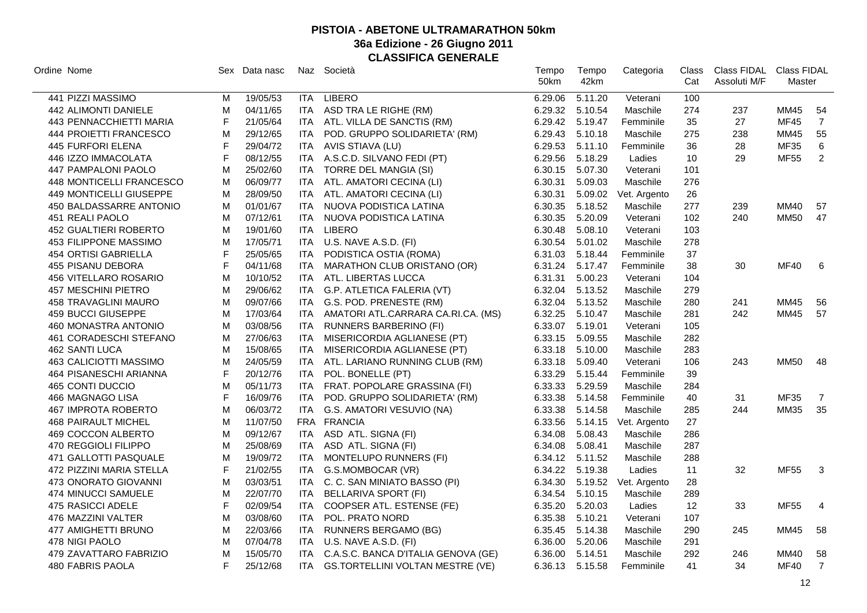| Ordine Nome                 |             | Sex Data nasc |            | Naz Società                             | Tempo<br>50km | Tempo<br>42km | Categoria    | Class<br>Cat | Assoluti M/F | Class FIDAL Class FIDAL<br>Master |                |
|-----------------------------|-------------|---------------|------------|-----------------------------------------|---------------|---------------|--------------|--------------|--------------|-----------------------------------|----------------|
| 441 PIZZI MASSIMO           | м           | 19/05/53      | ITA        | <b>LIBERO</b>                           | 6.29.06       | 5.11.20       | Veterani     | 100          |              |                                   |                |
| <b>442 ALIMONTI DANIELE</b> | M           | 04/11/65      |            | ITA ASD TRA LE RIGHE (RM)               | 6.29.32       | 5.10.54       | Maschile     | 274          | 237          | <b>MM45</b>                       | 54             |
| 443 PENNACCHIETTI MARIA     | E           | 21/05/64      |            | ITA ATL. VILLA DE SANCTIS (RM)          | 6.29.42       | 5.19.47       | Femminile    | 35           | 27           | <b>MF45</b>                       | $\overline{7}$ |
| 444 PROJETTI FRANCESCO      | M           | 29/12/65      | <b>ITA</b> | POD. GRUPPO SOLIDARIETA' (RM)           | 6.29.43       | 5.10.18       | Maschile     | 275          | 238          | <b>MM45</b>                       | 55             |
| 445 FURFORI ELENA           | F           | 29/04/72      |            | ITA AVIS STIAVA (LU)                    | 6.29.53       | 5.11.10       | Femminile    | 36           | 28           | <b>MF35</b>                       | $\,6\,$        |
| 446 IZZO IMMACOLATA         | $\mathsf F$ | 08/12/55      |            | ITA A.S.C.D. SILVANO FEDI (PT)          | 6.29.56       | 5.18.29       | Ladies       | 10           | 29           | <b>MF55</b>                       | 2              |
| 447 PAMPALONI PAOLO         | M           | 25/02/60      |            | ITA TORRE DEL MANGIA (SI)               | 6.30.15       | 5.07.30       | Veterani     | 101          |              |                                   |                |
| 448 MONTICELLI FRANCESCO    | м           | 06/09/77      |            | ITA ATL. AMATORI CECINA (LI)            | 6.30.31       | 5.09.03       | Maschile     | 276          |              |                                   |                |
| 449 MONTICELLI GIUSEPPE     | M           | 28/09/50      | ITA        | ATL. AMATORI CECINA (LI)                | 6.30.31       | 5.09.02       | Vet. Argento | 26           |              |                                   |                |
| 450 BALDASSARRE ANTONIO     | M           | 01/01/67      | <b>ITA</b> | NUOVA PODISTICA LATINA                  | 6.30.35       | 5.18.52       | Maschile     | 277          | 239          | <b>MM40</b>                       | 57             |
| 451 REALI PAOLO             | M           | 07/12/61      | <b>ITA</b> | NUOVA PODISTICA LATINA                  | 6.30.35       | 5.20.09       | Veterani     | 102          | 240          | <b>MM50</b>                       | 47             |
| 452 GUALTIERI ROBERTO       | M           | 19/01/60      | <b>ITA</b> | <b>LIBERO</b>                           | 6.30.48       | 5.08.10       | Veterani     | 103          |              |                                   |                |
| 453 FILIPPONE MASSIMO       | M           | 17/05/71      | ITA        | U.S. NAVE A.S.D. (FI)                   | 6.30.54       | 5.01.02       | Maschile     | 278          |              |                                   |                |
| 454 ORTISI GABRIELLA        | $\mathsf F$ | 25/05/65      | <b>ITA</b> | PODISTICA OSTIA (ROMA)                  | 6.31.03       | 5.18.44       | Femminile    | 37           |              |                                   |                |
| 455 PISANU DEBORA           | F           | 04/11/68      | ITA        | MARATHON CLUB ORISTANO (OR)             | 6.31.24       | 5.17.47       | Femminile    | 38           | 30           | <b>MF40</b>                       | 6              |
| 456 VITELLARO ROSARIO       | M           | 10/10/52      | ITA        | ATL. LIBERTAS LUCCA                     | 6.31.31       | 5.00.23       | Veterani     | 104          |              |                                   |                |
| 457 MESCHINI PIETRO         | M           | 29/06/62      | <b>ITA</b> | G.P. ATLETICA FALERIA (VT)              | 6.32.04       | 5.13.52       | Maschile     | 279          |              |                                   |                |
| 458 TRAVAGLINI MAURO        | M           | 09/07/66      | ITA        | G.S. POD. PRENESTE (RM)                 | 6.32.04       | 5.13.52       | Maschile     | 280          | 241          | <b>MM45</b>                       | 56             |
| 459 BUCCI GIUSEPPE          | M           | 17/03/64      | <b>ITA</b> | AMATORI ATL.CARRARA CA.RI.CA. (MS)      | 6.32.25       | 5.10.47       | Maschile     | 281          | 242          | <b>MM45</b>                       | 57             |
| 460 MONASTRA ANTONIO        | M           | 03/08/56      | <b>ITA</b> | <b>RUNNERS BARBERINO (FI)</b>           | 6.33.07       | 5.19.01       | Veterani     | 105          |              |                                   |                |
| 461 CORADESCHI STEFANO      | м           | 27/06/63      | ITA        | MISERICORDIA AGLIANESE (PT)             | 6.33.15       | 5.09.55       | Maschile     | 282          |              |                                   |                |
| 462 SANTI LUCA              | M           | 15/08/65      | ITA        | MISERICORDIA AGLIANESE (PT)             | 6.33.18       | 5.10.00       | Maschile     | 283          |              |                                   |                |
| 463 CALICIOTTI MASSIMO      | M           | 24/05/59      |            | ITA ATL. LARIANO RUNNING CLUB (RM)      | 6.33.18       | 5.09.40       | Veterani     | 106          | 243          | <b>MM50</b>                       | 48             |
| 464 PISANESCHI ARIANNA      | $\mathsf F$ | 20/12/76      | <b>ITA</b> | POL. BONELLE (PT)                       | 6.33.29       | 5.15.44       | Femminile    | 39           |              |                                   |                |
| 465 CONTI DUCCIO            | M           | 05/11/73      | ITA        | FRAT. POPOLARE GRASSINA (FI)            | 6.33.33       | 5.29.59       | Maschile     | 284          |              |                                   |                |
| 466 MAGNAGO LISA            | F           | 16/09/76      | ITA        | POD. GRUPPO SOLIDARIETA' (RM)           | 6.33.38       | 5.14.58       | Femminile    | 40           | 31           | <b>MF35</b>                       | $\overline{7}$ |
| <b>467 IMPROTA ROBERTO</b>  | M           | 06/03/72      | <b>ITA</b> | G.S. AMATORI VESUVIO (NA)               | 6.33.38       | 5.14.58       | Maschile     | 285          | 244          | <b>MM35</b>                       | 35             |
| <b>468 PAIRAULT MICHEL</b>  | M           | 11/07/50      |            | FRA FRANCIA                             | 6.33.56       | 5.14.15       | Vet. Argento | 27           |              |                                   |                |
| 469 COCCON ALBERTO          | м           | 09/12/67      | ITA        | ASD ATL. SIGNA (FI)                     | 6.34.08       | 5.08.43       | Maschile     | 286          |              |                                   |                |
| 470 REGGIOLI FILIPPO        | M           | 25/08/69      | <b>ITA</b> | ASD ATL. SIGNA (FI)                     | 6.34.08       | 5.08.41       | Maschile     | 287          |              |                                   |                |
| 471 GALLOTTI PASQUALE       | M           | 19/09/72      | <b>ITA</b> | MONTELUPO RUNNERS (FI)                  | 6.34.12       | 5.11.52       | Maschile     | 288          |              |                                   |                |
| 472 PIZZINI MARIA STELLA    | $\mathsf F$ | 21/02/55      | <b>ITA</b> | G.S.MOMBOCAR (VR)                       | 6.34.22       | 5.19.38       | Ladies       | 11           | 32           | <b>MF55</b>                       | $\mathbf{3}$   |
| 473 ONORATO GIOVANNI        | M           | 03/03/51      |            | ITA C. C. SAN MINIATO BASSO (PI)        | 6.34.30       | 5.19.52       | Vet. Argento | 28           |              |                                   |                |
| 474 MINUCCI SAMUELE         | M           | 22/07/70      | ITA        | <b>BELLARIVA SPORT (FI)</b>             | 6.34.54       | 5.10.15       | Maschile     | 289          |              |                                   |                |
| 475 RASICCI ADELE           | F           | 02/09/54      | <b>ITA</b> | COOPSER ATL. ESTENSE (FE)               | 6.35.20       | 5.20.03       | Ladies       | 12           | 33           | <b>MF55</b>                       | $\overline{4}$ |
| 476 MAZZINI VALTER          | M           | 03/08/60      | <b>ITA</b> | POL. PRATO NORD                         | 6.35.38       | 5.10.21       | Veterani     | 107          |              |                                   |                |
| 477 AMIGHETTI BRUNO         | M           | 22/03/66      | <b>ITA</b> | <b>RUNNERS BERGAMO (BG)</b>             | 6.35.45       | 5.14.38       | Maschile     | 290          | 245          | <b>MM45</b>                       | 58             |
| 478 NIGI PAOLO              | M           | 07/04/78      | ITA        | U.S. NAVE A.S.D. (FI)                   | 6.36.00       | 5.20.06       | Maschile     | 291          |              |                                   |                |
| 479 ZAVATTARO FABRIZIO      | M           | 15/05/70      | ITA        | C.A.S.C. BANCA D'ITALIA GENOVA (GE)     | 6.36.00       | 5.14.51       | Maschile     | 292          | 246          | MM40                              | 58             |
| 480 FABRIS PAOLA            | F           | 25/12/68      | ITA.       | <b>GS.TORTELLINI VOLTAN MESTRE (VE)</b> | 6.36.13       | 5.15.58       | Femminile    | 41           | 34           | <b>MF40</b>                       | $\overline{7}$ |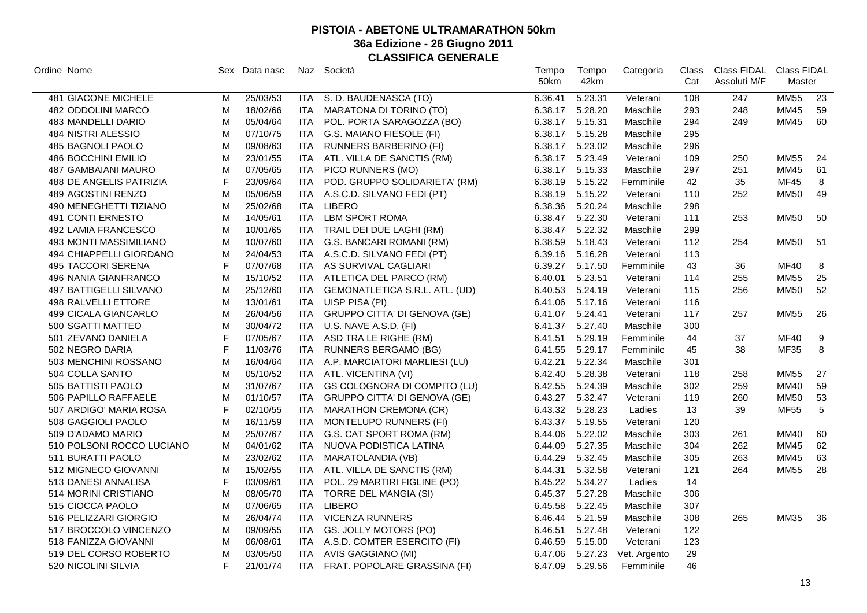| Ordine Nome                |              | Sex Data nasc |            | Naz Società                         | Tempo   | Tempo   | Categoria    | Class | Class FIDAL  | Class FIDAL |    |
|----------------------------|--------------|---------------|------------|-------------------------------------|---------|---------|--------------|-------|--------------|-------------|----|
|                            |              |               |            |                                     | 50km    | 42km    |              | Cat   | Assoluti M/F | Master      |    |
| 481 GIACONE MICHELE        | М            | 25/03/53      | ITA        | S. D. BAUDENASCA (TO)               | 6.36.41 | 5.23.31 | Veterani     | 108   | 247          | <b>MM55</b> | 23 |
| 482 ODDOLINI MARCO         | M            | 18/02/66      | <b>ITA</b> | <b>MARATONA DI TORINO (TO)</b>      | 6.38.17 | 5.28.20 | Maschile     | 293   | 248          | <b>MM45</b> | 59 |
| 483 MANDELLI DARIO         | M            | 05/04/64      | ITA        | POL. PORTA SARAGOZZA (BO)           | 6.38.17 | 5.15.31 | Maschile     | 294   | 249          | MM45        | 60 |
| 484 NISTRI ALESSIO         | M            | 07/10/75      | <b>ITA</b> | G.S. MAIANO FIESOLE (FI)            | 6.38.17 | 5.15.28 | Maschile     | 295   |              |             |    |
| 485 BAGNOLI PAOLO          | M            | 09/08/63      | <b>ITA</b> | <b>RUNNERS BARBERINO (FI)</b>       | 6.38.17 | 5.23.02 | Maschile     | 296   |              |             |    |
| 486 BOCCHINI EMILIO        | M            | 23/01/55      | ITA.       | ATL. VILLA DE SANCTIS (RM)          | 6.38.17 | 5.23.49 | Veterani     | 109   | 250          | <b>MM55</b> | 24 |
| <b>487 GAMBAIANI MAURO</b> | M            | 07/05/65      | <b>ITA</b> | PICO RUNNERS (MO)                   | 6.38.17 | 5.15.33 | Maschile     | 297   | 251          | <b>MM45</b> | 61 |
| 488 DE ANGELIS PATRIZIA    | F            | 23/09/64      | <b>ITA</b> | POD. GRUPPO SOLIDARIETA' (RM)       | 6.38.19 | 5.15.22 | Femminile    | 42    | 35           | <b>MF45</b> | 8  |
| 489 AGOSTINI RENZO         | M            | 05/06/59      | ITA        | A.S.C.D. SILVANO FEDI (PT)          | 6.38.19 | 5.15.22 | Veterani     | 110   | 252          | <b>MM50</b> | 49 |
| 490 MENEGHETTI TIZIANO     | M            | 25/02/68      |            | ITA LIBERO                          | 6.38.36 | 5.20.24 | Maschile     | 298   |              |             |    |
| 491 CONTI ERNESTO          | M            | 14/05/61      | <b>ITA</b> | <b>LBM SPORT ROMA</b>               | 6.38.47 | 5.22.30 | Veterani     | 111   | 253          | <b>MM50</b> | 50 |
| 492 LAMIA FRANCESCO        | M            | 10/01/65      | ITA        | TRAIL DEI DUE LAGHI (RM)            | 6.38.47 | 5.22.32 | Maschile     | 299   |              |             |    |
| 493 MONTI MASSIMILIANO     | M            | 10/07/60      | ITA.       | G.S. BANCARI ROMANI (RM)            | 6.38.59 | 5.18.43 | Veterani     | 112   | 254          | <b>MM50</b> | 51 |
| 494 CHIAPPELLI GIORDANO    | м            | 24/04/53      | ITA        | A.S.C.D. SILVANO FEDI (PT)          | 6.39.16 | 5.16.28 | Veterani     | 113   |              |             |    |
| 495 TACCORI SERENA         | F            | 07/07/68      | ITA        | AS SURVIVAL CAGLIARI                | 6.39.27 | 5.17.50 | Femminile    | 43    | 36           | <b>MF40</b> | 8  |
| 496 NANIA GIANFRANCO       | м            | 15/10/52      |            | ITA ATLETICA DEL PARCO (RM)         | 6.40.01 | 5.23.51 | Veterani     | 114   | 255          | <b>MM55</b> | 25 |
| 497 BATTIGELLI SILVANO     | M            | 25/12/60      | <b>ITA</b> | GEMONATLETICA S.R.L. ATL. (UD)      | 6.40.53 | 5.24.19 | Veterani     | 115   | 256          | <b>MM50</b> | 52 |
| 498 RALVELLI ETTORE        | M            | 13/01/61      | <b>ITA</b> | UISP PISA (PI)                      | 6.41.06 | 5.17.16 | Veterani     | 116   |              |             |    |
| 499 CICALA GIANCARLO       | M            | 26/04/56      | <b>ITA</b> | <b>GRUPPO CITTA' DI GENOVA (GE)</b> | 6.41.07 | 5.24.41 | Veterani     | 117   | 257          | <b>MM55</b> | 26 |
| 500 SGATTI MATTEO          | М            | 30/04/72      | ITA.       | U.S. NAVE A.S.D. (FI)               | 6.41.37 | 5.27.40 | Maschile     | 300   |              |             |    |
| 501 ZEVANO DANIELA         | $\mathsf{F}$ | 07/05/67      | <b>ITA</b> | ASD TRA LE RIGHE (RM)               | 6.41.51 | 5.29.19 | Femminile    | 44    | 37           | <b>MF40</b> | 9  |
| 502 NEGRO DARIA            | F            | 11/03/76      | <b>ITA</b> | <b>RUNNERS BERGAMO (BG)</b>         | 6.41.55 | 5.29.17 | Femminile    | 45    | 38           | <b>MF35</b> | 8  |
| 503 MENCHINI ROSSANO       | M            | 16/04/64      | ITA        | A.P. MARCIATORI MARLIESI (LU)       | 6.42.21 | 5.22.34 | Maschile     | 301   |              |             |    |
| 504 COLLA SANTO            | M            | 05/10/52      |            | ITA ATL. VICENTINA (VI)             | 6.42.40 | 5.28.38 | Veterani     | 118   | 258          | <b>MM55</b> | 27 |
| 505 BATTISTI PAOLO         | M            | 31/07/67      | ITA I      | <b>GS COLOGNORA DI COMPITO (LU)</b> | 6.42.55 | 5.24.39 | Maschile     | 302   | 259          | <b>MM40</b> | 59 |
| 506 PAPILLO RAFFAELE       | M            | 01/10/57      | ITA        | <b>GRUPPO CITTA' DI GENOVA (GE)</b> | 6.43.27 | 5.32.47 | Veterani     | 119   | 260          | <b>MM50</b> | 53 |
| 507 ARDIGO' MARIA ROSA     | F            | 02/10/55      | ITA        | <b>MARATHON CREMONA (CR)</b>        | 6.43.32 | 5.28.23 | Ladies       | 13    | 39           | <b>MF55</b> | 5  |
| 508 GAGGIOLI PAOLO         | M            | 16/11/59      | ITA        | MONTELUPO RUNNERS (FI)              | 6.43.37 | 5.19.55 | Veterani     | 120   |              |             |    |
| 509 D'ADAMO MARIO          | M            | 25/07/67      | ITA        | G.S. CAT SPORT ROMA (RM)            | 6.44.06 | 5.22.02 | Maschile     | 303   | 261          | <b>MM40</b> | 60 |
| 510 POLSONI ROCCO LUCIANO  | M            | 04/01/62      | <b>ITA</b> | NUOVA PODISTICA LATINA              | 6.44.09 | 5.27.35 | Maschile     | 304   | 262          | <b>MM45</b> | 62 |
| 511 BURATTI PAOLO          | M            | 23/02/62      | ITA        | MARATOLANDIA (VB)                   | 6.44.29 | 5.32.45 | Maschile     | 305   | 263          | <b>MM45</b> | 63 |
| 512 MIGNECO GIOVANNI       | M            | 15/02/55      | ITA        | ATL. VILLA DE SANCTIS (RM)          | 6.44.31 | 5.32.58 | Veterani     | 121   | 264          | <b>MM55</b> | 28 |
| 513 DANESI ANNALISA        | F            | 03/09/61      | ITA        | POL. 29 MARTIRI FIGLINE (PO)        | 6.45.22 | 5.34.27 | Ladies       | 14    |              |             |    |
| 514 MORINI CRISTIANO       | M            | 08/05/70      | <b>ITA</b> | TORRE DEL MANGIA (SI)               | 6.45.37 | 5.27.28 | Maschile     | 306   |              |             |    |
| 515 CIOCCA PAOLO           | M            | 07/06/65      | <b>ITA</b> | <b>LIBERO</b>                       | 6.45.58 | 5.22.45 | Maschile     | 307   |              |             |    |
| 516 PELIZZARI GIORGIO      | M            | 26/04/74      | <b>ITA</b> | <b>VICENZA RUNNERS</b>              | 6.46.44 | 5.21.59 | Maschile     | 308   | 265          | <b>MM35</b> | 36 |
| 517 BROCCOLO VINCENZO      | M            | 09/09/55      | <b>ITA</b> | GS. JOLLY MOTORS (PO)               | 6.46.51 | 5.27.48 | Veterani     | 122   |              |             |    |
| 518 FANIZZA GIOVANNI       | M            | 06/08/61      | ITA        | A.S.D. COMTER ESERCITO (FI)         | 6.46.59 | 5.15.00 | Veterani     | 123   |              |             |    |
| 519 DEL CORSO ROBERTO      | м            | 03/05/50      | <b>ITA</b> | AVIS GAGGIANO (MI)                  | 6.47.06 | 5.27.23 | Vet. Argento | 29    |              |             |    |
| 520 NICOLINI SILVIA        | F            | 21/01/74      | <b>ITA</b> | FRAT. POPOLARE GRASSINA (FI)        | 6.47.09 | 5.29.56 | Femminile    | 46    |              |             |    |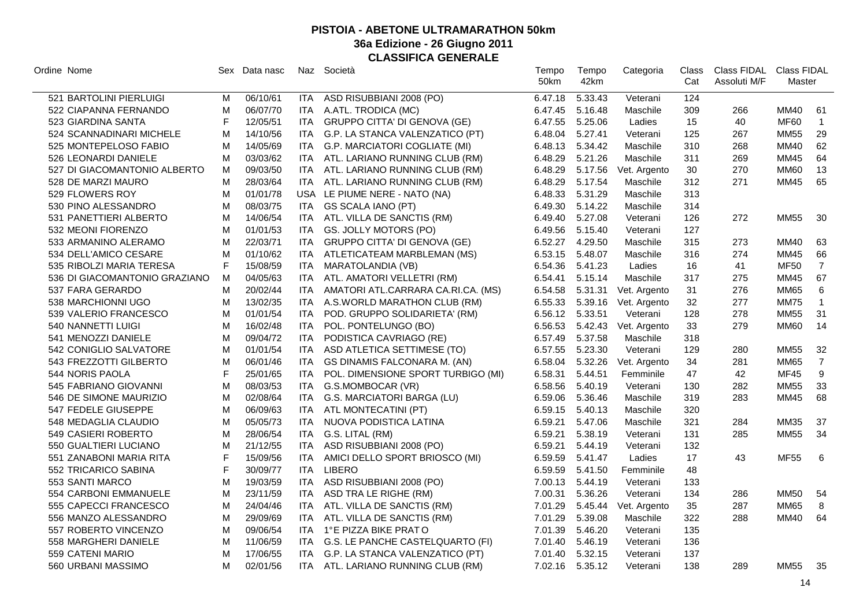| Ordine Nome                   |   | Sex Data nasc | Naz        | Società                             | Tempo<br>50km | Tempo<br>42km | Categoria    | Class<br>Cat | Class FIDAL<br>Assoluti M/F | Class FIDAL<br><b>Master</b> |                |
|-------------------------------|---|---------------|------------|-------------------------------------|---------------|---------------|--------------|--------------|-----------------------------|------------------------------|----------------|
|                               |   |               |            |                                     |               |               |              |              |                             |                              |                |
| 521 BARTOLINI PIERLUIGI       | м | 06/10/61      | ITA.       | ASD RISUBBIANI 2008 (PO)            | 6.47.18       | 5.33.43       | Veterani     | 124          |                             |                              |                |
| 522 CIAPANNA FERNANDO         | M | 06/07/70      | ITA        | A.ATL. TRODICA (MC)                 | 6.47.45       | 5.16.48       | Maschile     | 309          | 266                         | <b>MM40</b>                  | 61             |
| 523 GIARDINA SANTA            | F | 12/05/51      | <b>ITA</b> | <b>GRUPPO CITTA' DI GENOVA (GE)</b> | 6.47.55       | 5.25.06       | Ladies       | 15           | 40                          | <b>MF60</b>                  | $\overline{1}$ |
| 524 SCANNADINARI MICHELE      | M | 14/10/56      | ITA.       | G.P. LA STANCA VALENZATICO (PT)     | 6.48.04       | 5.27.41       | Veterani     | 125          | 267                         | <b>MM55</b>                  | 29             |
| 525 MONTEPELOSO FABIO         | M | 14/05/69      | ITA.       | G.P. MARCIATORI COGLIATE (MI)       | 6.48.13       | 5.34.42       | Maschile     | 310          | 268                         | <b>MM40</b>                  | 62             |
| 526 LEONARDI DANIELE          | M | 03/03/62      | ITA.       | ATL. LARIANO RUNNING CLUB (RM)      | 6.48.29       | 5.21.26       | Maschile     | 311          | 269                         | <b>MM45</b>                  | 64             |
| 527 DI GIACOMANTONIO ALBERTO  | м | 09/03/50      | ITA.       | ATL. LARIANO RUNNING CLUB (RM)      | 6.48.29       | 5.17.56       | Vet. Argento | 30           | 270                         | MM60                         | 13             |
| 528 DE MARZI MAURO            | м | 28/03/64      | ITA        | ATL. LARIANO RUNNING CLUB (RM)      | 6.48.29       | 5.17.54       | Maschile     | 312          | 271                         | <b>MM45</b>                  | 65             |
| 529 FLOWERS ROY               | M | 01/01/78      |            | USA LE PIUME NERE - NATO (NA)       | 6.48.33       | 5.31.29       | Maschile     | 313          |                             |                              |                |
| 530 PINO ALESSANDRO           | M | 08/03/75      | ITA        | <b>GS SCALA IANO (PT)</b>           | 6.49.30       | 5.14.22       | Maschile     | 314          |                             |                              |                |
| 531 PANETTIERI ALBERTO        | M | 14/06/54      | ITA.       | ATL. VILLA DE SANCTIS (RM)          | 6.49.40       | 5.27.08       | Veterani     | 126          | 272                         | <b>MM55</b>                  | 30             |
| 532 MEONI FIORENZO            | M | 01/01/53      | ITA.       | GS. JOLLY MOTORS (PO)               | 6.49.56       | 5.15.40       | Veterani     | 127          |                             |                              |                |
| 533 ARMANINO ALERAMO          | M | 22/03/71      | ITA.       | <b>GRUPPO CITTA' DI GENOVA (GE)</b> | 6.52.27       | 4.29.50       | Maschile     | 315          | 273                         | MM40                         | 63             |
| 534 DELL'AMICO CESARE         | м | 01/10/62      | ITA.       | ATLETICATEAM MARBLEMAN (MS)         | 6.53.15       | 5.48.07       | Maschile     | 316          | 274                         | MM45                         | 66             |
| 535 RIBOLZI MARIA TERESA      | F | 15/08/59      | ITA.       | MARATOLANDIA (VB)                   | 6.54.36       | 5.41.23       | Ladies       | 16           | 41                          | <b>MF50</b>                  | $\overline{7}$ |
| 536 DI GIACOMANTONIO GRAZIANO | м | 04/05/63      | ITA.       | ATL. AMATORI VELLETRI (RM)          | 6.54.41       | 5.15.14       | Maschile     | 317          | 275                         | MM45                         | 67             |
| 537 FARA GERARDO              | M | 20/02/44      | <b>ITA</b> | AMATORI ATL.CARRARA CA.RI.CA. (MS)  | 6.54.58       | 5.31.31       | Vet. Argento | 31           | 276                         | <b>MM65</b>                  | $\,6\,$        |
| 538 MARCHIONNI UGO            | M | 13/02/35      | ITA        | A.S.WORLD MARATHON CLUB (RM)        | 6.55.33       | 5.39.16       | Vet. Argento | 32           | 277                         | <b>MM75</b>                  | $\mathbf{1}$   |
| 539 VALERIO FRANCESCO         | м | 01/01/54      | ITA.       | POD. GRUPPO SOLIDARIETA' (RM)       | 6.56.12       | 5.33.51       | Veterani     | 128          | 278                         | <b>MM55</b>                  | 31             |
| 540 NANNETTI LUIGI            | м | 16/02/48      | ITA.       | POL. PONTELUNGO (BO)                | 6.56.53       | 5.42.43       | Vet. Argento | 33           | 279                         | <b>MM60</b>                  | 14             |
| 541 MENOZZI DANIELE           | M | 09/04/72      | <b>ITA</b> | PODISTICA CAVRIAGO (RE)             | 6.57.49       | 5.37.58       | Maschile     | 318          |                             |                              |                |
| 542 CONIGLIO SALVATORE        | M | 01/01/54      | <b>ITA</b> | ASD ATLETICA SETTIMESE (TO)         | 6.57.55       | 5.23.30       | Veterani     | 129          | 280                         | <b>MM55</b>                  | 32             |
| 543 FREZZOTTI GILBERTO        | M | 06/01/46      | ITA.       | GS DINAMIS FALCONARA M. (AN)        | 6.58.04       | 5.32.26       | Vet. Argento | 34           | 281                         | <b>MM65</b>                  | $\overline{7}$ |
| 544 NORIS PAOLA               | F | 25/01/65      | <b>ITA</b> | POL. DIMENSIONE SPORT TURBIGO (MI)  | 6.58.31       | 5.44.51       | Femminile    | 47           | 42                          | <b>MF45</b>                  | 9              |
| 545 FABRIANO GIOVANNI         | M | 08/03/53      | ITA.       | G.S.MOMBOCAR (VR)                   | 6.58.56       | 5.40.19       | Veterani     | 130          | 282                         | <b>MM55</b>                  | 33             |
| 546 DE SIMONE MAURIZIO        | M | 02/08/64      | <b>ITA</b> | G.S. MARCIATORI BARGA (LU)          | 6.59.06       | 5.36.46       | Maschile     | 319          | 283                         | <b>MM45</b>                  | 68             |
| 547 FEDELE GIUSEPPE           | M | 06/09/63      | <b>ITA</b> | ATL MONTECATINI (PT)                | 6.59.15       | 5.40.13       | Maschile     | 320          |                             |                              |                |
| 548 MEDAGLIA CLAUDIO          | M | 05/05/73      | <b>ITA</b> | NUOVA PODISTICA LATINA              | 6.59.21       | 5.47.06       | Maschile     | 321          | 284                         | MM35                         | 37             |
| 549 CASIERI ROBERTO           | M | 28/06/54      | ITA.       | G.S. LITAL (RM)                     | 6.59.21       | 5.38.19       | Veterani     | 131          | 285                         | <b>MM55</b>                  | 34             |
| 550 GUALTIERI LUCIANO         | M | 21/12/55      | <b>ITA</b> | ASD RISUBBIANI 2008 (PO)            | 6.59.21       | 5.44.19       | Veterani     | 132          |                             |                              |                |
| 551 ZANABONI MARIA RITA       | F | 15/09/56      | ITA.       | AMICI DELLO SPORT BRIOSCO (MI)      | 6.59.59       | 5.41.47       | Ladies       | 17           | 43                          | <b>MF55</b>                  | 6              |
| 552 TRICARICO SABINA          | F | 30/09/77      | ITA        | <b>LIBERO</b>                       | 6.59.59       | 5.41.50       | Femminile    | 48           |                             |                              |                |
| 553 SANTI MARCO               | M | 19/03/59      | ITA.       | ASD RISUBBIANI 2008 (PO)            | 7.00.13       | 5.44.19       | Veterani     | 133          |                             |                              |                |
| 554 CARBONI EMMANUELE         | M | 23/11/59      | ITA.       | ASD TRA LE RIGHE (RM)               | 7.00.31       | 5.36.26       | Veterani     | 134          | 286                         | <b>MM50</b>                  | 54             |
| 555 CAPECCI FRANCESCO         | M | 24/04/46      | ITA.       | ATL. VILLA DE SANCTIS (RM)          | 7.01.29       | 5.45.44       | Vet. Argento | 35           | 287                         | <b>MM65</b>                  | 8              |
| 556 MANZO ALESSANDRO          | M | 29/09/69      | ITA.       | ATL. VILLA DE SANCTIS (RM)          | 7.01.29       | 5.39.08       | Maschile     | 322          | 288                         | <b>MM40</b>                  | 64             |
| 557 ROBERTO VINCENZO          | M | 09/06/54      | ITA.       | 1°E PIZZA BIKE PRATO                | 7.01.39       | 5.46.20       | Veterani     | 135          |                             |                              |                |
| 558 MARGHERI DANIELE          | M | 11/06/59      | ITA        | G.S. LE PANCHE CASTELQUARTO (FI)    | 7.01.40       | 5.46.19       | Veterani     | 136          |                             |                              |                |
| 559 CATENI MARIO              | м | 17/06/55      | ITA.       | G.P. LA STANCA VALENZATICO (PT)     | 7.01.40       | 5.32.15       | Veterani     | 137          |                             |                              |                |
| 560 URBANI MASSIMO            | м | 02/01/56      | ITA.       | ATL. LARIANO RUNNING CLUB (RM)      | 7.02.16       | 5.35.12       | Veterani     | 138          | 289                         | <b>MM55</b>                  | -35            |
|                               |   |               |            |                                     |               |               |              |              |                             |                              |                |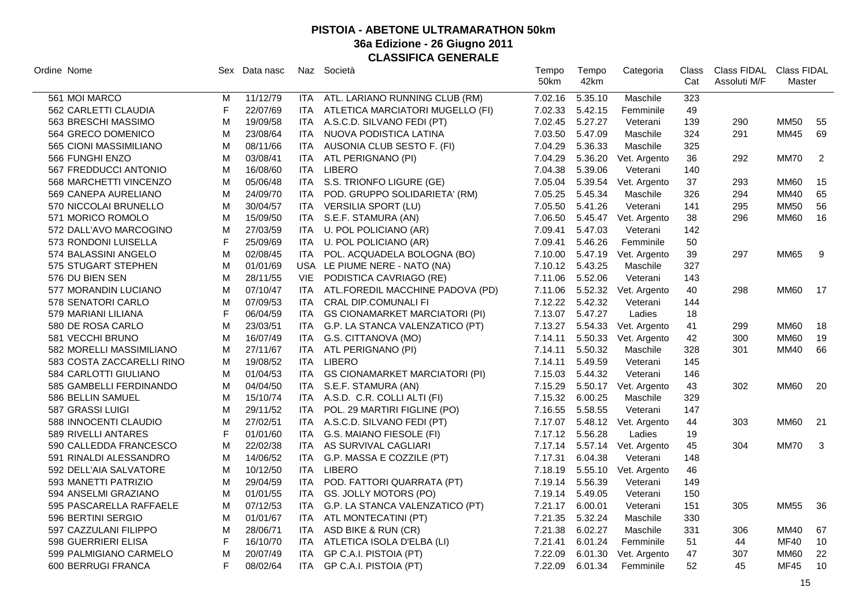| Ordine Nome               |              | Sex Data nasc | Naz        | Società                              | Tempo<br>50km    | Tempo<br>42km   | Categoria    | Class<br>Cat | Class FIDAL Class FIDAL<br>Assoluti M/F |             | Master         |  |
|---------------------------|--------------|---------------|------------|--------------------------------------|------------------|-----------------|--------------|--------------|-----------------------------------------|-------------|----------------|--|
| 561 MOI MARCO             | М            | 11/12/79      |            | ITA ATL. LARIANO RUNNING CLUB (RM)   | 7.02.16          | 5.35.10         | Maschile     | 323          |                                         |             |                |  |
| 562 CARLETTI CLAUDIA      | $\mathsf{F}$ | 22/07/69      |            | ITA ATLETICA MARCIATORI MUGELLO (FI) | 7.02.33          | 5.42.15         | Femminile    | 49           |                                         |             |                |  |
| 563 BRESCHI MASSIMO       | M            | 19/09/58      |            | ITA A.S.C.D. SILVANO FEDI (PT)       | 7.02.45          | 5.27.27         | Veterani     | 139          | 290                                     | <b>MM50</b> | 55             |  |
| 564 GRECO DOMENICO        | M            | 23/08/64      |            | ITA NUOVA PODISTICA LATINA           | 7.03.50          | 5.47.09         | Maschile     | 324          | 291                                     | <b>MM45</b> | 69             |  |
| 565 CIONI MASSIMILIANO    | M            | 08/11/66      |            | ITA AUSONIA CLUB SESTO F. (FI)       | 7.04.29          | 5.36.33         | Maschile     | 325          |                                         |             |                |  |
| 566 FUNGHI ENZO           | M            | 03/08/41      |            | ITA ATL PERIGNANO (PI)               | 7.04.29          | 5.36.20         | Vet. Argento | 36           | 292                                     | <b>MM70</b> | $\overline{2}$ |  |
| 567 FREDDUCCI ANTONIO     | M            | 16/08/60      |            | ITA LIBERO                           | 7.04.38          | 5.39.06         | Veterani     | 140          |                                         |             |                |  |
| 568 MARCHETTI VINCENZO    | M            | 05/06/48      |            | ITA S.S. TRIONFO LIGURE (GE)         | 7.05.04          | 5.39.54         | Vet. Argento | 37           | 293                                     | MM60        | 15             |  |
| 569 CANEPA AURELIANO      | M            | 24/09/70      |            | ITA POD. GRUPPO SOLIDARIETA' (RM)    | 7.05.25          | 5.45.34         | Maschile     | 326          | 294                                     | <b>MM40</b> | 65             |  |
| 570 NICCOLAI BRUNELLO     | M            | 30/04/57      |            | ITA VERSILIA SPORT (LU)              | 7.05.50          | 5.41.26         | Veterani     | 141          | 295                                     | MM50        | 56             |  |
| 571 MORICO ROMOLO         | M            | 15/09/50      |            | ITA S.E.F. STAMURA (AN)              | 7.06.50          | 5.45.47         | Vet. Argento | 38           | 296                                     | <b>MM60</b> | 16             |  |
| 572 DALL'AVO MARCOGINO    | M            | 27/03/59      |            | ITA U. POL POLICIANO (AR)            | 7.09.41          | 5.47.03         | Veterani     | 142          |                                         |             |                |  |
| 573 RONDONI LUISELLA      | $\mathsf F$  | 25/09/69      |            | ITA U. POL POLICIANO (AR)            | 7.09.41          | 5.46.26         | Femminile    | 50           |                                         |             |                |  |
| 574 BALASSINI ANGELO      | M            | 02/08/45      | ITA        | POL. ACQUADELA BOLOGNA (BO)          | 7.10.00          | 5.47.19         | Vet. Argento | 39           | 297                                     | MM65        | 9              |  |
| 575 STUGART STEPHEN       | M            | 01/01/69      |            | USA LE PIUME NERE - NATO (NA)        | 7.10.12 5.43.25  |                 | Maschile     | 327          |                                         |             |                |  |
| 576 DU BIEN SEN           | M            | 28/11/55      |            | VIE PODISTICA CAVRIAGO (RE)          |                  | 7.11.06 5.52.06 | Veterani     | 143          |                                         |             |                |  |
| 577 MORANDIN LUCIANO      | M            | 07/10/47      |            | ITA ATL.FOREDIL MACCHINE PADOVA (PD) | 7.11.06          | 5.52.32         | Vet. Argento | 40           | 298                                     | <b>MM60</b> | 17             |  |
| 578 SENATORI CARLO        | M            | 07/09/53      |            | ITA CRAL DIP.COMUNALI FI             | 7.12.22  5.42.32 |                 | Veterani     | 144          |                                         |             |                |  |
| 579 MARIANI LILIANA       | $\mathsf F$  | 06/04/59      |            | ITA GS CIONAMARKET MARCIATORI (PI)   | 7.13.07          | 5.47.27         | Ladies       | 18           |                                         |             |                |  |
| 580 DE ROSA CARLO         | M            | 23/03/51      |            | ITA G.P. LA STANCA VALENZATICO (PT)  | 7.13.27          | 5.54.33         | Vet. Argento | 41           | 299                                     | <b>MM60</b> | 18             |  |
| 581 VECCHI BRUNO          | M            | 16/07/49      |            | ITA G.S. CITTANOVA (MO)              | 7.14.11          | 5.50.33         | Vet. Argento | 42           | 300                                     | <b>MM60</b> | 19             |  |
| 582 MORELLI MASSIMILIANO  | M            | 27/11/67      |            | ITA ATL PERIGNANO (PI)               | 7.14.11          | 5.50.32         | Maschile     | 328          | 301                                     | <b>MM40</b> | 66             |  |
| 583 COSTA ZACCARELLI RINO | M            | 19/08/52      |            | ITA LIBERO                           | 7.14.11          | 5.49.59         | Veterani     | 145          |                                         |             |                |  |
| 584 CARLOTTI GIULIANO     | M            | 01/04/53      |            | ITA GS CIONAMARKET MARCIATORI (PI)   | 7.15.03          | 5.44.32         | Veterani     | 146          |                                         |             |                |  |
| 585 GAMBELLI FERDINANDO   | M            | 04/04/50      |            | ITA S.E.F. STAMURA (AN)              | 7.15.29          | 5.50.17         | Vet. Argento | 43           | 302                                     | MM60        | 20             |  |
| 586 BELLIN SAMUEL         | M            | 15/10/74      |            | ITA A.S.D. C.R. COLLI ALTI (FI)      | 7.15.32          | 6.00.25         | Maschile     | 329          |                                         |             |                |  |
| 587 GRASSI LUIGI          | M            | 29/11/52      | ITA        | POL. 29 MARTIRI FIGLINE (PO)         | 7.16.55          | 5.58.55         | Veterani     | 147          |                                         |             |                |  |
| 588 INNOCENTI CLAUDIO     | M            | 27/02/51      |            | ITA A.S.C.D. SILVANO FEDI (PT)       | 7.17.07          | 5.48.12         | Vet. Argento | 44           | 303                                     | <b>MM60</b> | 21             |  |
| 589 RIVELLI ANTARES       | $\mathsf F$  | 01/01/60      |            | ITA G.S. MAIANO FIESOLE (FI)         | 7.17.12 5.56.28  |                 | Ladies       | 19           |                                         |             |                |  |
| 590 CALLEDDA FRANCESCO    | M            | 22/02/38      |            | ITA AS SURVIVAL CAGLIARI             | 7.17.14          | 5.57.14         | Vet. Argento | 45           | 304                                     | <b>MM70</b> | 3              |  |
| 591 RINALDI ALESSANDRO    | M            | 14/06/52      |            | ITA G.P. MASSA E COZZILE (PT)        | 7.17.31          | 6.04.38         | Veterani     | 148          |                                         |             |                |  |
| 592 DELL'AIA SALVATORE    | M            | 10/12/50      |            | ITA LIBERO                           | 7.18.19          | 5.55.10         | Vet. Argento | 46           |                                         |             |                |  |
| 593 MANETTI PATRIZIO      | M            | 29/04/59      | ITA        | POD. FATTORI QUARRATA (PT)           | 7.19.14          | 5.56.39         | Veterani     | 149          |                                         |             |                |  |
| 594 ANSELMI GRAZIANO      | M            | 01/01/55      |            | ITA GS. JOLLY MOTORS (PO)            | 7.19.14          | 5.49.05         | Veterani     | 150          |                                         |             |                |  |
| 595 PASCARELLA RAFFAELE   | M            | 07/12/53      |            | ITA G.P. LA STANCA VALENZATICO (PT)  | 7.21.17          | 6.00.01         | Veterani     | 151          | 305                                     | <b>MM55</b> | 36             |  |
| 596 BERTINI SERGIO        | м            | 01/01/67      |            | ITA ATL MONTECATINI (PT)             | 7.21.35          | 5.32.24         | Maschile     | 330          |                                         |             |                |  |
| 597 CAZZULANI FILIPPO     | M            | 28/06/71      | ITA        | ASD BIKE & RUN (CR)                  | 7.21.38          | 6.02.27         | Maschile     | 331          | 306                                     | <b>MM40</b> | 67             |  |
| 598 GUERRIERI ELISA       | $\mathsf F$  | 16/10/70      | ITA        | ATLETICA ISOLA D'ELBA (LI)           | 7.21.41          | 6.01.24         | Femminile    | 51           | 44                                      | <b>MF40</b> | 10             |  |
| 599 PALMIGIANO CARMELO    | M            | 20/07/49      | ITA.       | GP C.A.I. PISTOIA (PT)               | 7.22.09          | 6.01.30         | Vet. Argento | 47           | 307                                     | <b>MM60</b> | 22             |  |
| 600 BERRUGI FRANCA        | F            | 08/02/64      | <b>ITA</b> | GP C.A.I. PISTOIA (PT)               | 7.22.09          | 6.01.34         | Femminile    | 52           | 45                                      | <b>MF45</b> | 10             |  |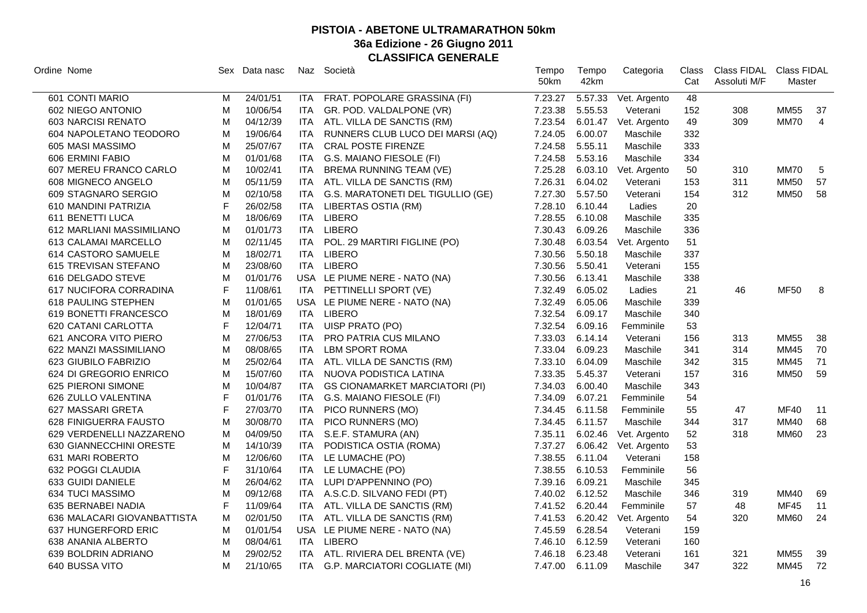| Ordine Nome                 |             | Sex Data nasc |            | Naz Società                           | Tempo<br>50km | Tempo<br>42km | Categoria    | Class<br>Cat | Class FIDAL<br>Assoluti M/F | <b>Class FIDAL</b> | Master         |  |
|-----------------------------|-------------|---------------|------------|---------------------------------------|---------------|---------------|--------------|--------------|-----------------------------|--------------------|----------------|--|
| 601 CONTI MARIO             | м           | 24/01/51      |            | ITA FRAT. POPOLARE GRASSINA (FI)      | 7.23.27       | 5.57.33       | Vet. Argento | 48           |                             |                    |                |  |
| 602 NIEGO ANTONIO           | M           | 10/06/54      |            | ITA GR. POD. VALDALPONE (VR)          | 7.23.38       | 5.55.53       | Veterani     | 152          | 308                         | <b>MM55</b>        | 37             |  |
| 603 NARCISI RENATO          | M           | 04/12/39      |            | ITA ATL. VILLA DE SANCTIS (RM)        | 7.23.54       | 6.01.47       | Vet. Argento | 49           | 309                         | <b>MM70</b>        | $\overline{4}$ |  |
| 604 NAPOLETANO TEODORO      | M           | 19/06/64      |            | ITA RUNNERS CLUB LUCO DEI MARSI (AQ)  | 7.24.05       | 6.00.07       | Maschile     | 332          |                             |                    |                |  |
| 605 MASI MASSIMO            | M           | 25/07/67      |            | ITA CRAL POSTE FIRENZE                | 7.24.58       | 5.55.11       | Maschile     | 333          |                             |                    |                |  |
| 606 ERMINI FABIO            | M           | 01/01/68      |            | ITA G.S. MAIANO FIESOLE (FI)          | 7.24.58       | 5.53.16       | Maschile     | 334          |                             |                    |                |  |
| 607 MEREU FRANCO CARLO      | м           | 10/02/41      |            | ITA BREMA RUNNING TEAM (VE)           | 7.25.28       | 6.03.10       | Vet. Argento | 50           | 310                         | <b>MM70</b>        | 5              |  |
| 608 MIGNECO ANGELO          | M           | 05/11/59      |            | ITA ATL. VILLA DE SANCTIS (RM)        | 7.26.31       | 6.04.02       | Veterani     | 153          | 311                         | <b>MM50</b>        | 57             |  |
| 609 STAGNARO SERGIO         | M           | 02/10/58      |            | ITA G.S. MARATONETI DEL TIGULLIO (GE) | 7.27.30       | 5.57.50       | Veterani     | 154          | 312                         | <b>MM50</b>        | 58             |  |
| 610 MANDINI PATRIZIA        | $\mathsf F$ | 26/02/58      |            | ITA LIBERTAS OSTIA (RM)               | 7.28.10       | 6.10.44       | Ladies       | 20           |                             |                    |                |  |
| 611 BENETTI LUCA            | M           | 18/06/69      |            | ITA LIBERO                            | 7.28.55       | 6.10.08       | Maschile     | 335          |                             |                    |                |  |
| 612 MARLIANI MASSIMILIANO   | м           | 01/01/73      |            | ITA LIBERO                            | 7.30.43       | 6.09.26       | Maschile     | 336          |                             |                    |                |  |
| 613 CALAMAI MARCELLO        | M           | 02/11/45      | <b>ITA</b> | POL. 29 MARTIRI FIGLINE (PO)          | 7.30.48       | 6.03.54       | Vet. Argento | 51           |                             |                    |                |  |
| 614 CASTORO SAMUELE         | M           | 18/02/71      |            | ITA LIBERO                            | 7.30.56       | 5.50.18       | Maschile     | 337          |                             |                    |                |  |
| 615 TREVISAN STEFANO        | M           | 23/08/60      |            | ITA LIBERO                            | 7.30.56       | 5.50.41       | Veterani     | 155          |                             |                    |                |  |
| 616 DELGADO STEVE           | M           | 01/01/76      |            | USA LE PIUME NERE - NATO (NA)         | 7.30.56       | 6.13.41       | Maschile     | 338          |                             |                    |                |  |
| 617 NUCIFORA CORRADINA      | $\mathsf F$ | 11/08/61      |            | ITA PETTINELLI SPORT (VE)             | 7.32.49       | 6.05.02       | Ladies       | 21           | 46                          | <b>MF50</b>        | 8              |  |
| <b>618 PAULING STEPHEN</b>  | M           | 01/01/65      |            | USA LE PIUME NERE - NATO (NA)         | 7.32.49       | 6.05.06       | Maschile     | 339          |                             |                    |                |  |
| 619 BONETTI FRANCESCO       | M           | 18/01/69      |            | ITA LIBERO                            | 7.32.54       | 6.09.17       | Maschile     | 340          |                             |                    |                |  |
| 620 CATANI CARLOTTA         | F           | 12/04/71      |            | ITA UISP PRATO (PO)                   | 7.32.54       | 6.09.16       | Femminile    | 53           |                             |                    |                |  |
| 621 ANCORA VITO PIERO       | M           | 27/06/53      | ITA.       | PRO PATRIA CUS MILANO                 | 7.33.03       | 6.14.14       | Veterani     | 156          | 313                         | <b>MM55</b>        | 38             |  |
| 622 MANZI MASSIMILIANO      | M           | 08/08/65      | ITA        | <b>LBM SPORT ROMA</b>                 | 7.33.04       | 6.09.23       | Maschile     | 341          | 314                         | <b>MM45</b>        | 70             |  |
| 623 GIUBILO FABRIZIO        | M           | 25/02/64      | ITA        | ATL. VILLA DE SANCTIS (RM)            | 7.33.10       | 6.04.09       | Maschile     | 342          | 315                         | MM45               | 71             |  |
| 624 DI GREGORIO ENRICO      | M           | 15/07/60      |            | ITA NUOVA PODISTICA LATINA            | 7.33.35       | 5.45.37       | Veterani     | 157          | 316                         | <b>MM50</b>        | 59             |  |
| 625 PIERONI SIMONE          | M           | 10/04/87      |            | ITA GS CIONAMARKET MARCIATORI (PI)    | 7.34.03       | 6.00.40       | Maschile     | 343          |                             |                    |                |  |
| 626 ZULLO VALENTINA         | $\mathsf F$ | 01/01/76      |            | ITA G.S. MAIANO FIESOLE (FI)          | 7.34.09       | 6.07.21       | Femminile    | 54           |                             |                    |                |  |
| 627 MASSARI GRETA           | F           | 27/03/70      |            | ITA PICO RUNNERS (MO)                 | 7.34.45       | 6.11.58       | Femminile    | 55           | 47                          | <b>MF40</b>        | 11             |  |
| 628 FINIGUERRA FAUSTO       | M           | 30/08/70      |            | ITA PICO RUNNERS (MO)                 | 7.34.45       | 6.11.57       | Maschile     | 344          | 317                         | <b>MM40</b>        | 68             |  |
| 629 VERDENELLI NAZZARENO    | м           | 04/09/50      |            | ITA S.E.F. STAMURA (AN)               | 7.35.11       | 6.02.46       | Vet. Argento | 52           | 318                         | MM60               | 23             |  |
| 630 GIANNECCHINI ORESTE     | M           | 14/10/39      |            | ITA PODISTICA OSTIA (ROMA)            | 7.37.27       | 6.06.42       | Vet. Argento | 53           |                             |                    |                |  |
| 631 MARI ROBERTO            | M           | 12/06/60      |            | ITA LE LUMACHE (PO)                   | 7.38.55       | 6.11.04       | Veterani     | 158          |                             |                    |                |  |
| 632 POGGI CLAUDIA           | F           | 31/10/64      |            | ITA LE LUMACHE (PO)                   | 7.38.55       | 6.10.53       | Femminile    | 56           |                             |                    |                |  |
| 633 GUIDI DANIELE           | M           | 26/04/62      |            | ITA LUPI D'APPENNINO (PO)             | 7.39.16       | 6.09.21       | Maschile     | 345          |                             |                    |                |  |
| 634 TUCI MASSIMO            | M           | 09/12/68      |            | ITA A.S.C.D. SILVANO FEDI (PT)        | 7.40.02       | 6.12.52       | Maschile     | 346          | 319                         | <b>MM40</b>        | 69             |  |
| 635 BERNABEI NADIA          | $\mathsf F$ | 11/09/64      |            | ITA ATL. VILLA DE SANCTIS (RM)        | 7.41.52       | 6.20.44       | Femminile    | 57           | 48                          | <b>MF45</b>        | 11             |  |
| 636 MALACARI GIOVANBATTISTA | M           | 02/01/50      |            | ITA ATL. VILLA DE SANCTIS (RM)        | 7.41.53       | 6.20.42       | Vet. Argento | 54           | 320                         | <b>MM60</b>        | 24             |  |
| 637 HUNGERFORD ERIC         | M           | 01/01/54      |            | USA LE PIUME NERE - NATO (NA)         | 7.45.59       | 6.28.54       | Veterani     | 159          |                             |                    |                |  |
| 638 ANANIA ALBERTO          | м           | 08/04/61      |            | ITA LIBERO                            | 7.46.10       | 6.12.59       | Veterani     | 160          |                             |                    |                |  |
| 639 BOLDRIN ADRIANO         | M           | 29/02/52      | ITA.       | ATL. RIVIERA DEL BRENTA (VE)          | 7.46.18       | 6.23.48       | Veterani     | 161          | 321                         | <b>MM55</b>        | 39             |  |
| 640 BUSSA VITO              | M           | 21/10/65      | ITA.       | G.P. MARCIATORI COGLIATE (MI)         | 7.47.00       | 6.11.09       | Maschile     | 347          | 322                         | MM45               | 72             |  |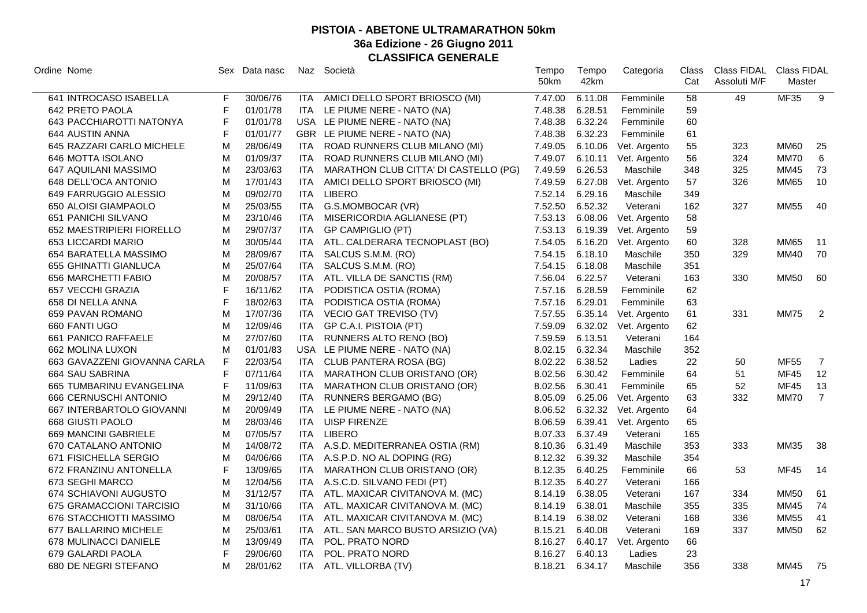| Ordine Nome                  |              | Sex Data nasc |            | Naz Società                           | Tempo<br>50km | Tempo<br>42km   | Categoria    | Class<br>Cat | Class FIDAL Class FIDAL<br>Assoluti M/F | Master      |                |
|------------------------------|--------------|---------------|------------|---------------------------------------|---------------|-----------------|--------------|--------------|-----------------------------------------|-------------|----------------|
| 641 INTROCASO ISABELLA       | F            | 30/06/76      |            | ITA AMICI DELLO SPORT BRIOSCO (MI)    | 7.47.00       | 6.11.08         | Femminile    | 58           | 49                                      | <b>MF35</b> | 9              |
| 642 PRETO PAOLA              | $\mathsf F$  | 01/01/78      |            | ITA LE PIUME NERE - NATO (NA)         | 7.48.38       | 6.28.51         | Femminile    | 59           |                                         |             |                |
| 643 PACCHIAROTTI NATONYA     | F            | 01/01/78      |            | USA LE PIUME NERE - NATO (NA)         | 7.48.38       | 6.32.24         | Femminile    | 60           |                                         |             |                |
| 644 AUSTIN ANNA              | F            | 01/01/77      |            | GBR LE PIUME NERE - NATO (NA)         | 7.48.38       | 6.32.23         | Femminile    | 61           |                                         |             |                |
| 645 RAZZARI CARLO MICHELE    | M            | 28/06/49      |            | ITA ROAD RUNNERS CLUB MILANO (MI)     | 7.49.05       | 6.10.06         | Vet. Argento | 55           | 323                                     | <b>MM60</b> | 25             |
| 646 MOTTA ISOLANO            | M            | 01/09/37      | ITA        | ROAD RUNNERS CLUB MILANO (MI)         | 7.49.07       | 6.10.11         | Vet. Argento | 56           | 324                                     | <b>MM70</b> | 6              |
| 647 AQUILANI MASSIMO         | M            | 23/03/63      | ITA        | MARATHON CLUB CITTA' DI CASTELLO (PG) | 7.49.59       | 6.26.53         | Maschile     | 348          | 325                                     | <b>MM45</b> | 73             |
| 648 DELL'OCA ANTONIO         | м            | 17/01/43      |            | ITA AMICI DELLO SPORT BRIOSCO (MI)    | 7.49.59       | 6.27.08         | Vet. Argento | 57           | 326                                     | <b>MM65</b> | 10             |
| 649 FARRUGGIO ALESSIO        | M            | 09/02/70      |            | ITA LIBERO                            | 7.52.14       | 6.29.16         | Maschile     | 349          |                                         |             |                |
| 650 ALOISI GIAMPAOLO         | M            | 25/03/55      |            | ITA G.S.MOMBOCAR (VR)                 | 7.52.50       | 6.52.32         | Veterani     | 162          | 327                                     | <b>MM55</b> | 40             |
| 651 PANICHI SILVANO          | M            | 23/10/46      | ITA        | MISERICORDIA AGLIANESE (PT)           | 7.53.13       | 6.08.06         | Vet. Argento | 58           |                                         |             |                |
| 652 MAESTRIPIERI FIORELLO    | M            | 29/07/37      |            | ITA GP CAMPIGLIO (PT)                 | 7.53.13       | 6.19.39         | Vet. Argento | 59           |                                         |             |                |
| 653 LICCARDI MARIO           | M            | 30/05/44      |            | ITA ATL. CALDERARA TECNOPLAST (BO)    | 7.54.05       | 6.16.20         | Vet. Argento | 60           | 328                                     | <b>MM65</b> | 11             |
| 654 BARATELLA MASSIMO        | M            | 28/09/67      |            | ITA SALCUS S.M.M. (RO)                | 7.54.15       | 6.18.10         | Maschile     | 350          | 329                                     | <b>MM40</b> | 70             |
| 655 GHINATTI GIANLUCA        | M            | 25/07/64      |            | ITA SALCUS S.M.M. (RO)                | 7.54.15       | 6.18.08         | Maschile     | 351          |                                         |             |                |
| 656 MARCHETTI FABIO          | M            | 20/08/57      |            | ITA ATL. VILLA DE SANCTIS (RM)        |               | 7.56.04 6.22.57 | Veterani     | 163          | 330                                     | <b>MM50</b> | 60             |
| 657 VECCHI GRAZIA            | $\mathsf{F}$ | 16/11/62      | ITA        | PODISTICA OSTIA (ROMA)                | 7.57.16       | 6.28.59         | Femminile    | 62           |                                         |             |                |
| 658 DI NELLA ANNA            | F            | 18/02/63      | ITA        | PODISTICA OSTIA (ROMA)                | 7.57.16       | 6.29.01         | Femminile    | 63           |                                         |             |                |
| 659 PAVAN ROMANO             | M            | 17/07/36      |            | ITA VECIO GAT TREVISO (TV)            | 7.57.55       | 6.35.14         | Vet. Argento | 61           | 331                                     | <b>MM75</b> | 2              |
| 660 FANTI UGO                | M            | 12/09/46      |            | ITA GP C.A.I. PISTOIA (PT)            | 7.59.09       | 6.32.02         | Vet. Argento | 62           |                                         |             |                |
| 661 PANICO RAFFAELE          | M            | 27/07/60      |            | ITA RUNNERS ALTO RENO (BO)            | 7.59.59       | 6.13.51         | Veterani     | 164          |                                         |             |                |
| 662 MOLINA LUXON             | M            | 01/01/83      |            | USA LE PIUME NERE - NATO (NA)         | 8.02.15       | 6.32.34         | Maschile     | 352          |                                         |             |                |
| 663 GAVAZZENI GIOVANNA CARLA | $\mathsf{F}$ | 22/03/54      |            | ITA CLUB PANTERA ROSA (BG)            | 8.02.22       | 6.38.52         | Ladies       | 22           | 50                                      | <b>MF55</b> | $\overline{7}$ |
| 664 SAU SABRINA              | F            | 07/11/64      |            | ITA MARATHON CLUB ORISTANO (OR)       | 8.02.56       | 6.30.42         | Femminile    | 64           | 51                                      | <b>MF45</b> | 12             |
| 665 TUMBARINU EVANGELINA     | F            | 11/09/63      |            | ITA MARATHON CLUB ORISTANO (OR)       | 8.02.56       | 6.30.41         | Femminile    | 65           | 52                                      | <b>MF45</b> | 13             |
| 666 CERNUSCHI ANTONIO        | M            | 29/12/40      |            | ITA RUNNERS BERGAMO (BG)              | 8.05.09       | 6.25.06         | Vet. Argento | 63           | 332                                     | <b>MM70</b> | $\overline{7}$ |
| 667 INTERBARTOLO GIOVANNI    | M            | 20/09/49      | ITA        | LE PIUME NERE - NATO (NA)             | 8.06.52       | 6.32.32         | Vet. Argento | 64           |                                         |             |                |
| 668 GIUSTI PAOLO             | M            | 28/03/46      | ITA        | <b>UISP FIRENZE</b>                   | 8.06.59       | 6.39.41         | Vet. Argento | 65           |                                         |             |                |
| 669 MANCINI GABRIELE         | M            | 07/05/57      |            | ITA LIBERO                            | 8.07.33       | 6.37.49         | Veterani     | 165          |                                         |             |                |
| 670 CATALANO ANTONIO         | M            | 14/08/72      |            | ITA A.S.D. MEDITERRANEA OSTIA (RM)    | 8.10.36       | 6.31.49         | Maschile     | 353          | 333                                     | <b>MM35</b> | 38             |
| 671 FISICHELLA SERGIO        | M            | 04/06/66      |            | ITA A.S.P.D. NO AL DOPING (RG)        |               | 8.12.32 6.39.32 | Maschile     | 354          |                                         |             |                |
| 672 FRANZINU ANTONELLA       | F            | 13/09/65      |            | ITA MARATHON CLUB ORISTANO (OR)       | 8.12.35       | 6.40.25         | Femminile    | 66           | 53                                      | <b>MF45</b> | 14             |
| 673 SEGHI MARCO              | M            | 12/04/56      |            | ITA A.S.C.D. SILVANO FEDI (PT)        | 8.12.35       | 6.40.27         | Veterani     | 166          |                                         |             |                |
| 674 SCHIAVONI AUGUSTO        | м            | 31/12/57      |            | ITA ATL. MAXICAR CIVITANOVA M. (MC)   | 8.14.19       | 6.38.05         | Veterani     | 167          | 334                                     | <b>MM50</b> | 61             |
| 675 GRAMACCIONI TARCISIO     | M            | 31/10/66      |            | ITA ATL. MAXICAR CIVITANOVA M. (MC)   | 8.14.19       | 6.38.01         | Maschile     | 355          | 335                                     | <b>MM45</b> | 74             |
| 676 STACCHIOTTI MASSIMO      | M            | 08/06/54      |            | ITA ATL. MAXICAR CIVITANOVA M. (MC)   | 8.14.19       | 6.38.02         | Veterani     | 168          | 336                                     | <b>MM55</b> | 41             |
| 677 BALLARINO MICHELE        | M            | 25/03/61      |            | ITA ATL. SAN MARCO BUSTO ARSIZIO (VA) | 8.15.21       | 6.40.08         | Veterani     | 169          | 337                                     | <b>MM50</b> | 62             |
| 678 MULINACCI DANIELE        | M            | 13/09/49      | ITA.       | POL. PRATO NORD                       | 8.16.27       | 6.40.17         | Vet. Argento | 66           |                                         |             |                |
| 679 GALARDI PAOLA            | F            | 29/06/60      | <b>ITA</b> | POL. PRATO NORD                       | 8.16.27       | 6.40.13         | Ladies       | 23           |                                         |             |                |
| 680 DE NEGRI STEFANO         | M            | 28/01/62      | ITA.       | ATL. VILLORBA (TV)                    | 8.18.21       | 6.34.17         | Maschile     | 356          | 338                                     | MM45        | 75             |